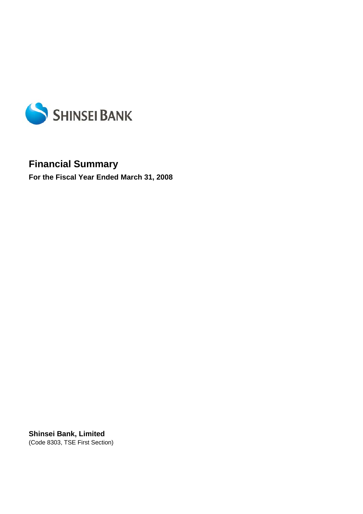

# **Financial Summary**

**For the Fiscal Year Ended March 31, 2008** 

**Shinsei Bank, Limited**  (Code 8303, TSE First Section)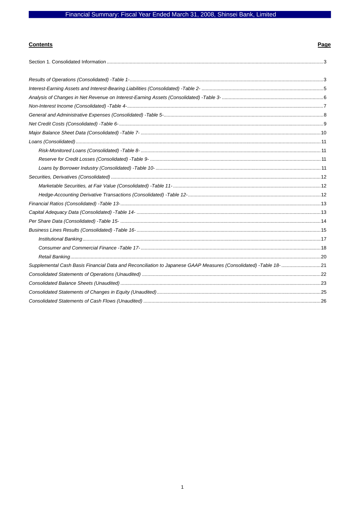# Financial Summary: Fiscal Year Ended March 31, 2008, Shinsei Bank, Limited

# **Contents**

# Page

| Supplemental Cash Basis Financial Data and Reconciliation to Japanese GAAP Measures (Consolidated) -Table 18-21 |  |
|-----------------------------------------------------------------------------------------------------------------|--|
|                                                                                                                 |  |
|                                                                                                                 |  |
|                                                                                                                 |  |
|                                                                                                                 |  |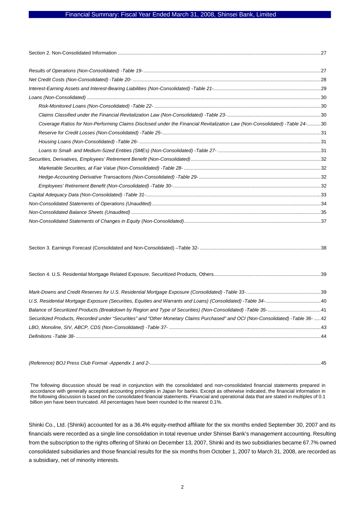#### Financial Summary: Fiscal Year Ended March 31, 2008, Shinsei Bank, Limited

| Coverage Ratios for Non-Performing Claims Disclosed under the Financial Revitalization Law (Non-Consolidated) -Table 24-30 |  |
|----------------------------------------------------------------------------------------------------------------------------|--|
|                                                                                                                            |  |
|                                                                                                                            |  |
|                                                                                                                            |  |
|                                                                                                                            |  |
|                                                                                                                            |  |
|                                                                                                                            |  |
|                                                                                                                            |  |
|                                                                                                                            |  |
|                                                                                                                            |  |
|                                                                                                                            |  |
|                                                                                                                            |  |

|--|--|

| Securitized Products, Recorded under "Securities" and "Other Monetary Claims Purchased" and OCI (Non-Consolidated) -Table 36-  42 |  |
|-----------------------------------------------------------------------------------------------------------------------------------|--|
|                                                                                                                                   |  |
|                                                                                                                                   |  |
|                                                                                                                                   |  |

*(Reference) BOJ Press Club Format -Appendix 1 and 2-*..............................................................................................................................45

The following discussion should be read in conjunction with the consolidated and non-consolidated financial statements prepared in accordance with generally accepted accounting principles in Japan for banks. Except as otherwise indicated, the financial information in the following discussion is based on the consolidated financial statements. Financial and operational data that are stated in multiples of 0.1 billion yen have been truncated. All percentages have been rounded to the nearest 0.1%.

Shinki Co., Ltd. (Shinki) accounted for as a 36.4% equity-method affiliate for the six months ended September 30, 2007 and its financials were recorded as a single line consolidation in total revenue under Shinsei Bank's management accounting. Resulting from the subscription to the rights offering of Shinki on December 13, 2007, Shinki and its two subsidiaries became 67.7% owned consolidated subsidiaries and those financial results for the six months from October 1, 2007 to March 31, 2008, are recorded as a subsidiary, net of minority interests.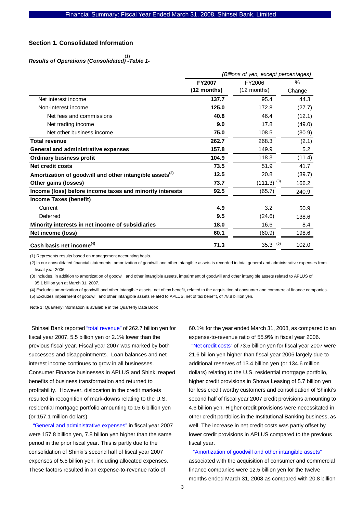#### **Section 1. Consolidated Information**

# *Results of Operations (Consolidated) -Table 1-* (1)

|                                                                     | (Billions of yen, except percentages) |                 |        |  |
|---------------------------------------------------------------------|---------------------------------------|-----------------|--------|--|
|                                                                     | <b>FY2007</b>                         | FY2006          | $\%$   |  |
|                                                                     | $(12$ months)                         | (12 months)     | Change |  |
| Net interest income                                                 | 137.7                                 | 95.4            | 44.3   |  |
| Non-interest income                                                 | 125.0                                 | 172.8           | (27.7) |  |
| Net fees and commissions                                            | 40.8                                  | 46.4            | (12.1) |  |
| Net trading income                                                  | 9.0                                   | 17.8            | (49.0) |  |
| Net other business income                                           | 75.0                                  | 108.5           | (30.9) |  |
| <b>Total revenue</b>                                                | 262.7                                 | 268.3           | (2.1)  |  |
| <b>General and administrative expenses</b>                          | 157.8                                 | 149.9           | 5.2    |  |
| <b>Ordinary business profit</b>                                     | 104.9                                 | 118.3           | (11.4) |  |
| Net credit costs                                                    | 73.5                                  | 51.9            | 41.7   |  |
| Amortization of goodwill and other intangible assets <sup>(2)</sup> | 12.5                                  | 20.8            | (39.7) |  |
| Other gains (losses)                                                | 73.7                                  | $(111.3)^{(3)}$ | 166.2  |  |
| Income (loss) before income taxes and minority interests            | 92.5                                  | (65.7)          | 240.9  |  |
| Income Taxes (benefit)                                              |                                       |                 |        |  |
| Current                                                             | 4.9                                   | 3.2             | 50.9   |  |
| Deferred                                                            | 9.5                                   | (24.6)          | 138.6  |  |
| Minority interests in net income of subsidiaries                    | 18.0                                  | 16.6            | 8.4    |  |
| Net income (loss)                                                   | 60.1                                  | (60.9)          | 198.6  |  |
| Cash basis net income <sup>(4)</sup>                                | 71.3                                  | $35.3$ (5)      | 102.0  |  |

(1) Represents results based on management accounting basis.

(2) In our consolidated financial statements, amortization of goodwill and other intangible assets is recorded in total general and administrative expenses from fiscal year 2006.

(3) Includes, in addition to amortization of goodwill and other intangible assets, impairment of goodwill and other intangible assets related to APLUS of 95.1 billion yen at March 31, 2007.

(4) Excludes amortization of goodwill and other intangible assets, net of tax benefit, related to the acquisition of consumer and commercial finance companies.

(5) Excludes impairment of goodwill and other intangible assets related to APLUS, net of tax benefit, of 78.8 billion yen.

Note 1: Quarterly information is available in the Quarterly Data Book

Shinsei Bank reported "total revenue" of 262.7 billion yen for fiscal year 2007, 5.5 billion yen or 2.1% lower than the previous fiscal year. Fiscal year 2007 was marked by both successes and disappointments. Loan balances and net interest income continues to grow in all businesses. Consumer Finance businesses in APLUS and Shinki reaped benefits of business transformation and returned to profitability. However, dislocation in the credit markets resulted in recognition of mark-downs relating to the U.S. residential mortgage portfolio amounting to 15.6 billion yen (or 157.1 million dollars)

 "General and administrative expenses" in fiscal year 2007 were 157.8 billion yen, 7.8 billion yen higher than the same period in the prior fiscal year. This is partly due to the consolidation of Shinki's second half of fiscal year 2007 expenses of 5.5 billion yen, including allocated expenses. These factors resulted in an expense-to-revenue ratio of

60.1% for the year ended March 31, 2008, as compared to an expense-to-revenue ratio of 55.9% in fiscal year 2006.

"Net credit costs" of 73.5 billion yen for fiscal year 2007 were 21.6 billion yen higher than fiscal year 2006 largely due to additional reserves of 13.4 billion yen (or 134.6 million dollars) relating to the U.S. residential mortgage portfolio, higher credit provisions in Showa Leasing of 5.7 billion yen for less credit worthy customers and consolidation of Shinki's second half of fiscal year 2007 credit provisions amounting to 4.6 billion yen. Higher credit provisions were necessitated in other credit portfolios in the Institutional Banking business, as well. The increase in net credit costs was partly offset by lower credit provisions in APLUS compared to the previous fiscal year.

# "Amortization of goodwill and other intangible assets" associated with the acquisition of consumer and commercial finance companies were 12.5 billion yen for the twelve months ended March 31, 2008 as compared with 20.8 billion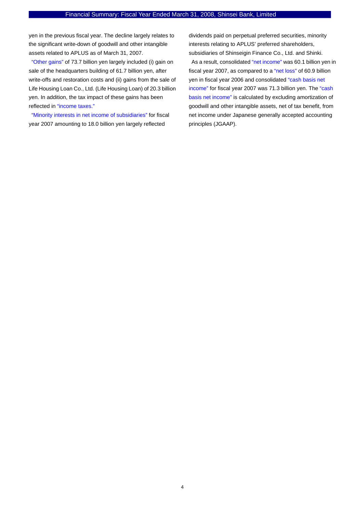yen in the previous fiscal year. The decline largely relates to the significant write-down of goodwill and other intangible assets related to APLUS as of March 31, 2007.

"Other gains" of 73.7 billion yen largely included (i) gain on sale of the headquarters building of 61.7 billion yen, after write-offs and restoration costs and (ii) gains from the sale of Life Housing Loan Co., Ltd. (Life Housing Loan) of 20.3 billion yen. In addition, the tax impact of these gains has been reflected in "income taxes."

"Minority interests in net income of subsidiaries" for fiscal year 2007 amounting to 18.0 billion yen largely reflected

dividends paid on perpetual preferred securities, minority interests relating to APLUS' preferred shareholders, subsidiaries of Shinseigin Finance Co., Ltd. and Shinki.

As a result, consolidated "net income" was 60.1 billion yen in fiscal year 2007, as compared to a "net loss" of 60.9 billion yen in fiscal year 2006 and consolidated "cash basis net income" for fiscal year 2007 was 71.3 billion yen. The "cash basis net income" is calculated by excluding amortization of goodwill and other intangible assets, net of tax benefit, from net income under Japanese generally accepted accounting principles (JGAAP).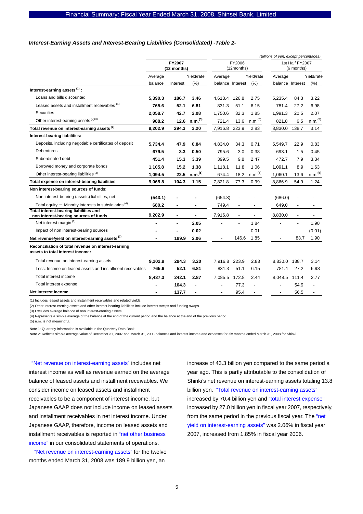#### *Interest-Earning Assets and Interest-Bearing Liabilities (Consolidated) -Table 2-*

|                                                                                         |                       |          |                      |                          |                          |                               | (Billions of yen, except percentages) |                          |                          |
|-----------------------------------------------------------------------------------------|-----------------------|----------|----------------------|--------------------------|--------------------------|-------------------------------|---------------------------------------|--------------------------|--------------------------|
|                                                                                         | FY2007<br>(12 months) |          | FY2006<br>(12months) |                          |                          | 1st Half FY2007<br>(6 months) |                                       |                          |                          |
|                                                                                         | Average               |          | Yield/rate           | Average                  |                          | Yield/rate                    | Average                               |                          | Yield/rate               |
|                                                                                         | balance               | Interest | (%)                  | balance Interest         |                          | (%)                           | balance Interest                      |                          | (% )                     |
| Interest-earning assets <sup>(1)</sup> :                                                |                       |          |                      |                          |                          |                               |                                       |                          |                          |
| Loans and bills discounted                                                              | 5,390.3               | 186.7    | 3.46                 | 4,613.4 126.8            |                          | 2.75                          | 5,235.4                               | 84.3                     | 3.22                     |
| Leased assets and installment receivables (1)                                           | 765.6                 | 52.1     | 6.81                 | 831.3                    | 51.1                     | 6.15                          | 781.4                                 | 27.2                     | 6.98                     |
| <b>Securities</b>                                                                       | 2,058.7               | 42.7     | 2.08                 | 1,750.6                  | 32.3                     | 1.85                          | 1,991.3                               | 20.5                     | 2.07                     |
| Other interest-earning assets (2)(3)                                                    | 988.2                 | 12.6     | n.m. <sup>(5)</sup>  | 721.4                    | 13.6                     | n.m. <sup>(5)</sup>           | 821.8                                 | 6.5                      | $n.m.$ <sup>(5)</sup>    |
| Total revenue on interest-earning assets <sup>(1)</sup>                                 | 9,202.9               | 294.3    | 3.20                 | 7,916.8                  | 223.9                    | 2.83                          | 8,830.0                               | 138.7                    | 3.14                     |
| Interest-bearing liabilities:                                                           |                       |          |                      |                          |                          |                               |                                       |                          |                          |
| Deposits, including negotiable certificates of deposit                                  | 5.734.4               | 47.9     | 0.84                 | 4,834.0                  | 34.3                     | 0.71                          | 5.549.7                               | 22.9                     | 0.83                     |
| Debentures                                                                              | 679.5                 | 3.3      | 0.50                 | 795.6                    | 3.0                      | 0.38                          | 693.1                                 | 1.5                      | 0.45                     |
| Subordinated debt                                                                       | 451.4                 | 15.3     | 3.39                 | 399.5                    | 9.8                      | 2.47                          | 472.7                                 | 7.9                      | 3.34                     |
| Borrowed money and corporate bonds                                                      | 1.105.8               | 15.2     | 1.38                 | 1,118.1                  | 11.8                     | 1.06                          | 1,091.1                               | 8.9                      | 1.63                     |
| Other interest-bearing liabilities <sup>(2)</sup>                                       | 1,094.5               | 22.5     | n.m. <sup>(5)</sup>  | 674.4                    | 18.2                     | n.m. <sup>(5)</sup>           | 1,060.1                               | 13.6                     | $n.m.$ <sup>(5)</sup>    |
| Total expense on interest-bearing liabilities                                           | 9,065.8               | 104.3    | 1.15                 | 7,821.8                  | 77.3                     | 0.99                          | 8,866.9                               | 54.9                     | 1.24                     |
| Non interest-bearing sources of funds:                                                  |                       |          |                      |                          |                          |                               |                                       |                          |                          |
| Non interest-bearing (assets) liabilities, net                                          | (543.1)               |          |                      | (654.3)                  |                          |                               | (686.0)                               |                          |                          |
| Total equity $-$ Minority interests in subsidiaries <sup>(4)</sup>                      | 680.2                 |          |                      | 749.4                    | $\overline{\phantom{a}}$ |                               | 649.0                                 | $\overline{\phantom{a}}$ | $\overline{\phantom{a}}$ |
| Total interest-bearing liabilities and<br>non interest-bearing sources of funds         | 9,202.9               |          |                      | 7,916.8                  | $\blacksquare$           |                               | 8,830.0                               | $\blacksquare$           |                          |
| Net interest margin <sup>(1)</sup>                                                      |                       |          | 2.05                 |                          |                          | 1.84                          |                                       |                          | 1.90                     |
| Impact of non interest-bearing sources                                                  | $\blacksquare$        | ٠        | 0.02                 | $\overline{\phantom{a}}$ | $\overline{\phantom{a}}$ | 0.01                          | $\overline{\phantom{a}}$              | $\overline{\phantom{a}}$ | (0.01)                   |
| Net revenue/yield on interest-earning assets <sup>(1)</sup>                             | $\blacksquare$        | 189.9    | 2.06                 | $\overline{a}$           | 146.6                    | 1.85                          | ÷,                                    | 83.7                     | 1.90                     |
| Reconciliation of total revenue on interest-earning<br>assets to total interest income: |                       |          |                      |                          |                          |                               |                                       |                          |                          |
| Total revenue on interest-earning assets                                                | 9,202.9               | 294.3    | 3.20                 | 7,916.8                  | 223.9                    | 2.83                          | 8,830.0                               | 138.7                    | 3.14                     |
| Less: Income on leased assets and installment receivables                               | 765.6                 | 52.1     | 6.81                 | 831.3                    | 51.1                     | 6.15                          | 781.4                                 | 27.2                     | 6.98                     |
| Total interest income                                                                   | 8,437.3               | 242.1    | 2.87                 | 7,085.5                  | 172.8                    | 2.44                          | 8,048.5 111.4                         |                          | 2.77                     |
| Total interest expense                                                                  |                       | 104.3    | $\overline{a}$       | $\overline{a}$           | 77.3                     |                               |                                       | 54.9                     | $\overline{a}$           |
| Net interest income                                                                     |                       | 137.7    |                      | ä,                       | 95.4                     |                               | $\overline{\phantom{a}}$              | 56.5                     | $\overline{\phantom{a}}$ |
|                                                                                         |                       |          |                      |                          |                          |                               |                                       |                          |                          |

(1) Includes leased assets and installment receivables and related yields.

(2) Other interest-earning assets and other interest-bearing liabilities include interest swaps and funding swaps.

(3) Excludes average balance of non interest-earning assets.

(4) Represents a simple average of the balance at the end of the current period and the balance at the end of the previous period.

(5) n.m. is not meaningful.

Note 1: Quarterly information is available in the Quarterly Data Book

Note 2: Reflects simple average value of December 31, 2007 and March 31, 2008 balances and interest income and expenses for six months ended March 31, 2008 for Shinki.

"Net revenue on interest-earning assets" includes net interest income as well as revenue earned on the average balance of leased assets and installment receivables. We consider income on leased assets and installment receivables to be a component of interest income, but Japanese GAAP does not include income on leased assets and installment receivables in net interest income. Under Japanese GAAP, therefore, income on leased assets and installment receivables is reported in "net other business income" in our consolidated statements of operations.

"Net revenue on interest-earning assets" for the twelve months ended March 31, 2008 was 189.9 billion yen, an

increase of 43.3 billion yen compared to the same period a year ago. This is partly attributable to the consolidation of Shinki's net revenue on interest-earning assets totaling 13.8 billion yen. "Total revenue on interest-earning assets" increased by 70.4 billion yen and "total interest expense" increased by 27.0 billion yen in fiscal year 2007, respectively, from the same period in the previous fiscal year. The "net yield on interest-earning assets" was 2.06% in fiscal year 2007, increased from 1.85% in fiscal year 2006.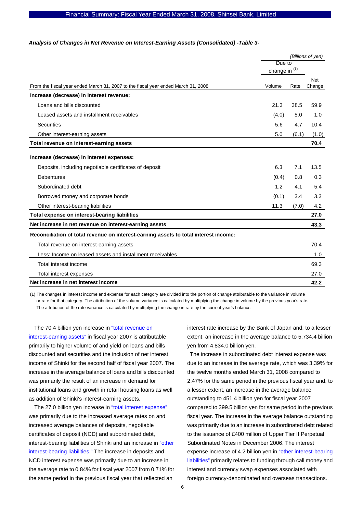#### *Analysis of Changes in Net Revenue on Interest-Earning Assets (Consolidated) -Table 3-*

|                                                                                      | (Billions of yen) |       |                      |
|--------------------------------------------------------------------------------------|-------------------|-------|----------------------|
|                                                                                      | Due to            |       |                      |
|                                                                                      | change in $(1)$   |       |                      |
| From the fiscal year ended March 31, 2007 to the fiscal year ended March 31, 2008    | Volume            | Rate  | <b>Net</b><br>Change |
| Increase (decrease) in interest revenue:                                             |                   |       |                      |
| Loans and bills discounted                                                           | 21.3              | 38.5  | 59.9                 |
| Leased assets and installment receivables                                            | (4.0)             | 5.0   | 1.0                  |
| <b>Securities</b>                                                                    | 5.6               | 4.7   | 10.4                 |
| Other interest-earning assets                                                        | 5.0               | (6.1) | (1.0)                |
| Total revenue on interest-earning assets                                             |                   |       | 70.4                 |
| Increase (decrease) in interest expenses:                                            |                   |       |                      |
| Deposits, including negotiable certificates of deposit                               | 6.3               | 7.1   | 13.5                 |
| <b>Debentures</b>                                                                    | (0.4)             | 0.8   | 0.3                  |
| Subordinated debt                                                                    | 1.2               | 4.1   | 5.4                  |
| Borrowed money and corporate bonds                                                   | (0.1)             | 3.4   | 3.3                  |
| Other interest-bearing liabilities                                                   | 11.3              | (7.0) | 4.2                  |
| Total expense on interest-bearing liabilities                                        |                   |       | 27.0                 |
| Net increase in net revenue on interest-earning assets                               |                   |       | 43.3                 |
| Reconciliation of total revenue on interest-earning assets to total interest income: |                   |       |                      |
| Total revenue on interest-earning assets                                             |                   |       | 70.4                 |
| Less: Income on leased assets and installment receivables                            |                   |       | 1.0                  |
| Total interest income                                                                |                   |       | 69.3                 |
| Total interest expenses                                                              |                   |       | 27.0                 |
| Net increase in net interest income                                                  |                   |       | 42.2                 |

(1) The changes in interest income and expense for each category are divided into the portion of change attributable to the variance in volume or rate for that category. The attribution of the volume variance is calculated by multiplying the change in volume by the previous year's rate. The attribution of the rate variance is calculated by multiplying the change in rate by the current year's balance.

The 70.4 billion yen increase in "total revenue on interest-earning assets" in fiscal year 2007 is attributable primarily to higher volume of and yield on loans and bills discounted and securities and the inclusion of net interest income of Shinki for the second half of fiscal year 2007. The increase in the average balance of loans and bills discounted was primarily the result of an increase in demand for institutional loans and growth in retail housing loans as well as addition of Shinki's interest-earning assets.

The 27.0 billion yen increase in "total interest expense" was primarily due to the increased average rates on and increased average balances of deposits, negotiable certificates of deposit (NCD) and subordinated debt, interest-bearing liabilities of Shinki and an increase in "other interest-bearing liabilities." The increase in deposits and NCD interest expense was primarily due to an increase in the average rate to 0.84% for fiscal year 2007 from 0.71% for the same period in the previous fiscal year that reflected an

interest rate increase by the Bank of Japan and, to a lesser extent, an increase in the average balance to 5,734.4 billion yen from 4,834.0 billion yen.

The increase in subordinated debt interest expense was due to an increase in the average rate, which was 3.39% for the twelve months ended March 31, 2008 compared to 2.47% for the same period in the previous fiscal year and, to a lesser extent, an increase in the average balance outstanding to 451.4 billion yen for fiscal year 2007 compared to 399.5 billion yen for same period in the previous fiscal year. The increase in the average balance outstanding was primarily due to an increase in subordinated debt related to the issuance of £400 million of Upper Tier II Perpetual Subordinated Notes in December 2006. The interest expense increase of 4.2 billion yen in "other interest-bearing liabilities" primarily relates to funding through call money and interest and currency swap expenses associated with foreign currency-denominated and overseas transactions.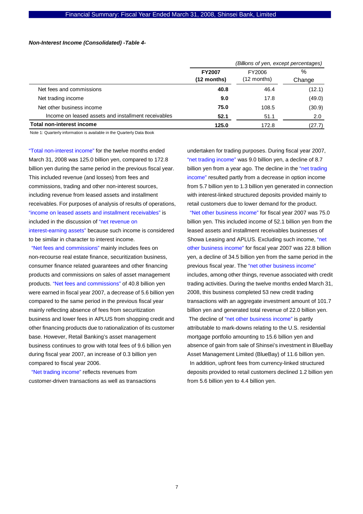#### *Non-Interest Income (Consolidated) -Table 4-*

|                                                     |                                | (Billions of yen, except percentages) |             |  |  |
|-----------------------------------------------------|--------------------------------|---------------------------------------|-------------|--|--|
|                                                     | <b>FY2007</b><br>$(12$ months) | FY2006<br>$(12$ months)               | %<br>Change |  |  |
| Net fees and commissions                            | 40.8                           | 46.4                                  | (12.1)      |  |  |
| Net trading income                                  | 9.0                            | 17.8                                  | (49.0)      |  |  |
| Net other business income                           | 75.0                           | 108.5                                 | (30.9)      |  |  |
| Income on leased assets and installment receivables | 52.1                           | 51.1                                  | 2.0         |  |  |
| <b>Total non-interest income</b>                    | 125.0                          | 172.8                                 | (27.7)      |  |  |

Note 1: Quarterly information is available in the Quarterly Data Book

"Total non-interest income" for the twelve months ended March 31, 2008 was 125.0 billion yen, compared to 172.8 billion yen during the same period in the previous fiscal year. This included revenue (and losses) from fees and commissions, trading and other non-interest sources, including revenue from leased assets and installment receivables. For purposes of analysis of results of operations, "income on leased assets and installment receivables" is included in the discussion of "net revenue on interest-earning assets" because such income is considered to be similar in character to interest income.

"Net fees and commissions" mainly includes fees on non-recourse real estate finance, securitization business, consumer finance related guarantees and other financing products and commissions on sales of asset management products. "Net fees and commissions" of 40.8 billion yen were earned in fiscal year 2007, a decrease of 5.6 billion yen compared to the same period in the previous fiscal year mainly reflecting absence of fees from securitization business and lower fees in APLUS from shopping credit and other financing products due to rationalization of its customer base. However, Retail Banking's asset management business continues to grow with total fees of 9.6 billion yen during fiscal year 2007, an increase of 0.3 billion yen compared to fiscal year 2006.

"Net trading income" reflects revenues from customer-driven transactions as well as transactions undertaken for trading purposes. During fiscal year 2007, "net trading income" was 9.0 billion yen, a decline of 8.7 billion yen from a year ago. The decline in the "net trading income" resulted partly from a decrease in option income from 5.7 billion yen to 1.3 billion yen generated in connection with interest-linked structured deposits provided mainly to retail customers due to lower demand for the product.

"Net other business income" for fiscal year 2007 was 75.0 billion yen. This included income of 52.1 billion yen from the leased assets and installment receivables businesses of Showa Leasing and APLUS. Excluding such income, "net other business income" for fiscal year 2007 was 22.8 billion yen, a decline of 34.5 billion yen from the same period in the previous fiscal year. The "net other business income" includes, among other things, revenue associated with credit trading activities. During the twelve months ended March 31, 2008, this business completed 53 new credit trading transactions with an aggregate investment amount of 101.7 billion yen and generated total revenue of 22.0 billion yen. The decline of "net other business income" is partly attributable to mark-downs relating to the U.S. residential mortgage portfolio amounting to 15.6 billion yen and absence of gain from sale of Shinsei's investment in BlueBay Asset Management Limited (BlueBay) of 11.6 billion yen. In addition, upfront fees from currency-linked structured deposits provided to retail customers declined 1.2 billion yen from 5.6 billion yen to 4.4 billion yen.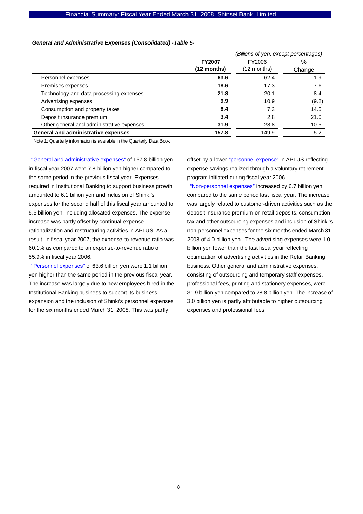#### Financial Summary: Fiscal Year Ended March 31, 2008, Shinsei Bank, Limited

#### *General and Administrative Expenses (Consolidated) -Table 5-*

|                                           |               | (Billions of yen, except percentages) |        |  |  |
|-------------------------------------------|---------------|---------------------------------------|--------|--|--|
|                                           | <b>FY2007</b> | FY2006                                | %      |  |  |
|                                           | (12 months)   | $(12$ months)                         | Change |  |  |
| Personnel expenses                        | 63.6          | 62.4                                  | 1.9    |  |  |
| Premises expenses                         | 18.6          | 17.3                                  | 7.6    |  |  |
| Technology and data processing expenses   | 21.8          | 20.1                                  | 8.4    |  |  |
| Advertising expenses                      | 9.9           | 10.9                                  | (9.2)  |  |  |
| Consumption and property taxes            | 8.4           | 7.3                                   | 14.5   |  |  |
| Deposit insurance premium                 | 3.4           | 2.8                                   | 21.0   |  |  |
| Other general and administrative expenses | 31.9          | 28.8                                  | 10.5   |  |  |
| General and administrative expenses       | 157.8         | 149.9                                 | 5.2    |  |  |

Note 1: Quarterly information is available in the Quarterly Data Book

"General and administrative expenses" of 157.8 billion yen in fiscal year 2007 were 7.8 billion yen higher compared to the same period in the previous fiscal year. Expenses required in Institutional Banking to support business growth amounted to 6.1 billion yen and inclusion of Shinki's expenses for the second half of this fiscal year amounted to 5.5 billion yen, including allocated expenses. The expense increase was partly offset by continual expense rationalization and restructuring activities in APLUS. As a result, in fiscal year 2007, the expense-to-revenue ratio was 60.1% as compared to an expense-to-revenue ratio of 55.9% in fiscal year 2006.

"Personnel expenses" of 63.6 billion yen were 1.1 billion yen higher than the same period in the previous fiscal year. The increase was largely due to new employees hired in the Institutional Banking business to support its business expansion and the inclusion of Shinki's personnel expenses for the six months ended March 31, 2008. This was partly

offset by a lower "personnel expense" in APLUS reflecting expense savings realized through a voluntary retirement program initiated during fiscal year 2006.

"Non-personnel expenses" increased by 6.7 billion yen compared to the same period last fiscal year. The increase was largely related to customer-driven activities such as the deposit insurance premium on retail deposits, consumption tax and other outsourcing expenses and inclusion of Shinki's non-personnel expenses for the six months ended March 31, 2008 of 4.0 billion yen. The advertising expenses were 1.0 billion yen lower than the last fiscal year reflecting optimization of advertising activities in the Retail Banking business. Other general and administrative expenses, consisting of outsourcing and temporary staff expenses, professional fees, printing and stationery expenses, were 31.9 billion yen compared to 28.8 billion yen. The increase of 3.0 billion yen is partly attributable to higher outsourcing expenses and professional fees.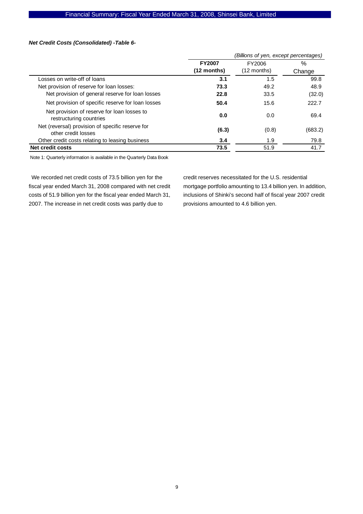#### *Net Credit Costs (Consolidated) -Table 6-*

|                                                                         | (Billions of yen, except percentages) |               |         |  |
|-------------------------------------------------------------------------|---------------------------------------|---------------|---------|--|
|                                                                         | <b>FY2007</b>                         | FY2006        | $\%$    |  |
|                                                                         | (12 months)                           | $(12$ months) | Change  |  |
| Losses on write-off of loans                                            | 3.1                                   | 1.5           | 99.8    |  |
| Net provision of reserve for loan losses:                               | 73.3                                  | 49.2          | 48.9    |  |
| Net provision of general reserve for loan losses                        | 22.8                                  | 33.5          | (32.0)  |  |
| Net provision of specific reserve for loan losses                       | 50.4                                  | 15.6          | 222.7   |  |
| Net provision of reserve for loan losses to<br>restructuring countries  | 0.0                                   | 0.0           | 69.4    |  |
| Net (reversal) provision of specific reserve for<br>other credit losses | (6.3)                                 | (0.8)         | (683.2) |  |
| Other credit costs relating to leasing business                         | 3.4                                   | 1.9           | 79.8    |  |
| Net credit costs                                                        | 73.5                                  | 51.9          | 41.7    |  |

Note 1: Quarterly information is available in the Quarterly Data Book

We recorded net credit costs of 73.5 billion yen for the fiscal year ended March 31, 2008 compared with net credit costs of 51.9 billion yen for the fiscal year ended March 31, 2007. The increase in net credit costs was partly due to

credit reserves necessitated for the U.S. residential mortgage portfolio amounting to 13.4 billion yen. In addition, inclusions of Shinki's second half of fiscal year 2007 credit provisions amounted to 4.6 billion yen.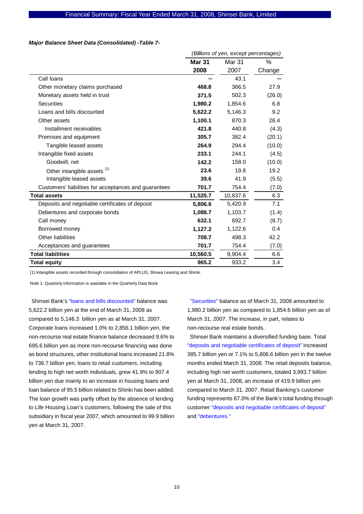#### *Major Balance Sheet Data (Consolidated) -Table 7-*

|                                                       | (Billions of yen, except percentages) |          |        |  |
|-------------------------------------------------------|---------------------------------------|----------|--------|--|
|                                                       | <b>Mar 31</b>                         | Mar 31   | ℅      |  |
|                                                       | 2008                                  | 2007     | Change |  |
| Call loans                                            |                                       | 43.1     |        |  |
| Other monetary claims purchased                       | 468.8                                 | 366.5    | 27.9   |  |
| Monetary assets held in trust                         | 371.5                                 | 502.3    | (26.0) |  |
| <b>Securities</b>                                     | 1,980.2                               | 1,854.6  | 6.8    |  |
| Loans and bills discounted                            | 5,622.2                               | 5,146.3  | 9.2    |  |
| Other assets                                          | 1,100.1                               | 870.3    | 26.4   |  |
| Installment receivables                               | 421.8                                 | 440.8    | (4.3)  |  |
| Premises and equipment                                | 305.7                                 | 382.4    | (20.1) |  |
| Tangible leased assets                                | 264.9                                 | 294.4    | (10.0) |  |
| Intangible fixed assets                               | 233.1                                 | 244.1    | (4.5)  |  |
| Goodwill, net                                         | 142.2                                 | 158.0    | (10.0) |  |
| Other intangible assets (1)                           | 23.6                                  | 19.8     | 19.2   |  |
| Intangible leased assets                              | 39.6                                  | 41.9     | (5.5)  |  |
| Customers' liabilities for acceptances and guarantees | 701.7                                 | 754.4    | (7.0)  |  |
| <b>Total assets</b>                                   | 11,525.7                              | 10,837.6 | 6.3    |  |
| Deposits and negotiable certificates of deposit       | 5,806.6                               | 5,420.9  | 7.1    |  |
| Debentures and corporate bonds                        | 1,088.7                               | 1,103.7  | (1.4)  |  |
| Call money                                            | 632.1                                 | 692.7    | (8.7)  |  |
| Borrowed money                                        | 1,127.2                               | 1,122.6  | 0.4    |  |
| Other liabilities                                     | 708.7                                 | 498.3    | 42.2   |  |
| Acceptances and guarantees                            | 701.7                                 | 754.4    | (7.0)  |  |
| <b>Total liabilities</b>                              | 10,560.5                              | 9,904.4  | 6.6    |  |
| <b>Total equity</b>                                   | 965.2                                 | 933.2    | 3.4    |  |

(1) Intangible assets recorded through consolidation of APLUS, Showa Leasing and Shinki.

Note 1: Quarterly information is available in the Quarterly Data Book

Shinsei Bank's "loans and bills discounted" balance was 5,622.2 billion yen at the end of March 31, 2008 as compared to 5,146.3 billion yen as at March 31, 2007. Corporate loans increased 1.0% to 2,856.1 billion yen, the non-recourse real estate finance balance decreased 9.6% to 695.6 billion yen as more non-recourse financing was done as bond structures, other institutional loans increased 21.8% to 736.7 billion yen, loans to retail customers, including lending to high net worth individuals, grew 41.9% to 907.4 billion yen due mainly to an increase in housing loans and loan balance of 95.5 billion related to Shinki has been added. The loan growth was partly offset by the absence of lending to Life Housing Loan's customers, following the sale of this subsidiary in fiscal year 2007, which amounted to 99.9 billion yen at March 31, 2007.

"Securities" balance as of March 31, 2008 amounted to 1,980.2 billion yen as compared to 1,854.6 billion yen as of March 31, 2007. The increase, in part, relates to non-recourse real estate bonds.

Shinsei Bank maintains a diversified funding base. Total "deposits and negotiable certificates of deposit" increased 385.7 billion yen or 7.1% to 5,806.6 billion yen in the twelve months ended March 31, 2008. The retail deposits balance, including high net worth customers, totaled 3,993.7 billion yen at March 31, 2008, an increase of 419.9 billion yen compared to March 31, 2007. Retail Banking's customer funding represents 67.0% of the Bank's total funding through customer "deposits and negotiable certificates of deposit" and "debentures."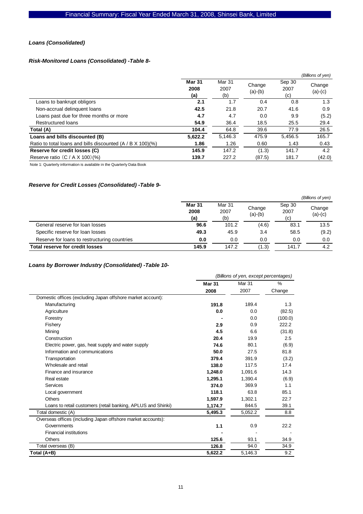#### *Loans (Consolidated)*

### *Risk-Monitored Loans (Consolidated) -Table 8-*

|                                                               |                              |                       |                     |                       | (Billions of yen) |
|---------------------------------------------------------------|------------------------------|-----------------------|---------------------|-----------------------|-------------------|
|                                                               | <b>Mar 31</b><br>2008<br>(a) | Mar 31<br>2007<br>(b) | Change<br>$(a)-(b)$ | Sep 30<br>2007<br>(c) | Change<br>(a)-(c) |
| Loans to bankrupt obligors                                    | 2.1                          | 1.7                   | 0.4                 | 0.8                   | 1.3               |
| Non-accrual delinquent loans                                  | 42.5                         | 21.8                  | 20.7                | 41.6                  | 0.9               |
| Loans past due for three months or more                       | 4.7                          | 4.7                   | 0.0                 | 9.9                   | (5.2)             |
| Restructured loans                                            | 54.9                         | 36.4                  | 18.5                | 25.5                  | 29.4              |
| Total (A)                                                     | 104.4                        | 64.8                  | 39.6                | 77.9                  | 26.5              |
| Loans and bills discounted (B)                                | 5,622.2                      | 5.146.3               | 475.9               | 5,456.5               | 165.7             |
| Ratio to total loans and bills discounted $(A / B X 100)(\%)$ | 1.86                         | 1.26                  | 0.60                | 1.43                  | 0.43              |
| Reserve for credit losses (C)                                 | 145.9                        | 147.2                 | (1.3)               | 141.7                 | 4.2               |
| Reserve ratio $(C / A X 100)(%$                               | 139.7                        | 227.2                 | (87.5)              | 181.7                 | (42.0)            |

Note 1: Quarterly information is available in the Quarterly Data Book

### *Reserve for Credit Losses (Consolidated) -Table 9-*

|                                              |                              |                       |                     |                       | (Billions of yen)   |
|----------------------------------------------|------------------------------|-----------------------|---------------------|-----------------------|---------------------|
|                                              | <b>Mar 31</b><br>2008<br>(a) | Mar 31<br>2007<br>(b) | Change<br>$(a)-(b)$ | Sep 30<br>2007<br>(c) | Change<br>$(a)-(c)$ |
| General reserve for loan losses              | 96.6                         | 101.2                 | (4.6)               | 83.1                  | 13.5                |
| Specific reserve for loan losses             | 49.3                         | 45.9                  | 3.4                 | 58.5                  | (9.2)               |
| Reserve for loans to restructuring countries | 0.0                          | 0.0                   | 0.0                 | 0.0                   | 0.0                 |
| <b>Total reserve for credit losses</b>       | 145.9                        | 147.2                 | (1.3)               | 141.7                 | 4.2                 |

### *Loans by Borrower Industry (Consolidated) -Table 10-*

|                                                              | (Billions of yen, except percentages) |         |         |  |
|--------------------------------------------------------------|---------------------------------------|---------|---------|--|
|                                                              | <b>Mar 31</b>                         | Mar 31  | %       |  |
|                                                              | 2008                                  | 2007    | Change  |  |
| Domestic offices (excluding Japan offshore market account):  |                                       |         |         |  |
| Manufacturing                                                | 191.8                                 | 189.4   | 1.3     |  |
| Agriculture                                                  | 0.0                                   | 0.0     | (82.5)  |  |
| Forestry                                                     |                                       | 0.0     | (100.0) |  |
| Fishery                                                      | 2.9                                   | 0.9     | 222.2   |  |
| Mining                                                       | 4.5                                   | 6.6     | (31.8)  |  |
| Construction                                                 | 20.4                                  | 19.9    | 2.5     |  |
| Electric power, gas, heat supply and water supply            | 74.6                                  | 80.1    | (6.9)   |  |
| Information and communications                               | 50.0                                  | 27.5    | 81.8    |  |
| Transportation                                               | 379.4                                 | 391.9   | (3.2)   |  |
| Wholesale and retail                                         | 138.0                                 | 117.5   | 17.4    |  |
| Finance and insurance                                        | 1,248.0                               | 1,091.6 | 14.3    |  |
| Real estate                                                  | 1,295.1                               | 1,390.4 | (6.9)   |  |
| Services                                                     | 374.0                                 | 369.9   | 1.1     |  |
| Local government                                             | 118.1                                 | 63.8    | 85.1    |  |
| Others                                                       | 1,597.9                               | 1,302.1 | 22.7    |  |
| Loans to retail customers (retail banking, APLUS and Shinki) | 1,174.7                               | 844.5   | 39.1    |  |
| Total domestic (A)                                           | 5,495.3                               | 5,052.2 | 8.8     |  |
| Overseas offices (including Japan offshore market accounts): |                                       |         |         |  |
| Governments                                                  | 1.1                                   | 0.9     | 22.2    |  |
| <b>Financial institutions</b>                                |                                       |         |         |  |
| <b>Others</b>                                                | 125.6                                 | 93.1    | 34.9    |  |
| Total overseas (B)                                           | 126.8                                 | 94.0    | 34.9    |  |
| Total (A+B)                                                  | 5,622.2                               | 5,146.3 | 9.2     |  |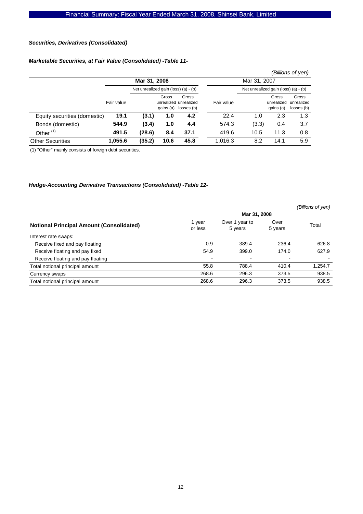#### *Securities, Derivatives (Consolidated)*

### *Marketable Securities, at Fair Value (Consolidated) -Table 11-*

|                              |            |                                      |                    |                                              |            |                                      |                                  | (Billions of yen)                 |
|------------------------------|------------|--------------------------------------|--------------------|----------------------------------------------|------------|--------------------------------------|----------------------------------|-----------------------------------|
|                              |            | Mar 31, 2008                         |                    |                                              |            | Mar 31, 2007                         |                                  |                                   |
|                              |            | Net unrealized gain (loss) (a) - (b) |                    |                                              |            | Net unrealized gain (loss) (a) - (b) |                                  |                                   |
|                              | Fair value |                                      | Gross<br>gains (a) | Gross<br>unrealized unrealized<br>losses (b) | Fair value |                                      | Gross<br>unrealized<br>gains (a) | Gross<br>unrealized<br>losses (b) |
| Equity securities (domestic) | 19.1       | (3.1)                                | 1.0                | 4.2                                          | 22.4       | 1.0                                  | 2.3                              | 1.3                               |
| Bonds (domestic)             | 544.9      | (3.4)                                | 1.0                | 4.4                                          | 574.3      | (3.3)                                | 0.4                              | 3.7                               |
| Other $(1)$                  | 491.5      | (28.6)                               | 8.4                | 37.1                                         | 419.6      | 10.5                                 | 11.3                             | 0.8                               |
| <b>Other Securities</b>      | 1.055.6    | (35.2)                               | 10.6               | 45.8                                         | 1.016.3    | 8.2                                  | 14.1                             | 5.9                               |

(1) "Other" mainly consists of foreign debt securities.

### *Hedge-Accounting Derivative Transactions (Consolidated) -Table 12-*

|                                                 |                   |                           |                 | (Billions of yen) |  |
|-------------------------------------------------|-------------------|---------------------------|-----------------|-------------------|--|
|                                                 | Mar 31, 2008      |                           |                 |                   |  |
| <b>Notional Principal Amount (Consolidated)</b> | 1 year<br>or less | Over 1 year to<br>5 years | Over<br>5 years | Total             |  |
| Interest rate swaps:                            |                   |                           |                 |                   |  |
| Receive fixed and pay floating                  | 0.9               | 389.4                     | 236.4           | 626.8             |  |
| Receive floating and pay fixed                  | 54.9              | 399.0                     | 174.0           | 627.9             |  |
| Receive floating and pay floating               |                   | $\overline{\phantom{a}}$  |                 |                   |  |
| Total notional principal amount                 | 55.8              | 788.4                     | 410.4           | 1,254.7           |  |
| Currency swaps                                  | 268.6             | 296.3                     | 373.5           | 938.5             |  |
| Total notional principal amount                 | 268.6             | 296.3                     | 373.5           | 938.5             |  |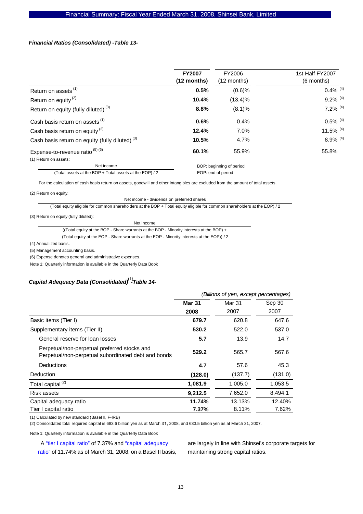#### *Financial Ratios (Consolidated) -Table 13-*

|                                                            | <b>FY2007</b><br>$(12$ months) | FY2006<br>$(12$ months) | 1st Half FY2007<br>(6 months) |
|------------------------------------------------------------|--------------------------------|-------------------------|-------------------------------|
| Return on assets <sup>(1)</sup>                            | 0.5%                           | $(0.6)$ %               | $0.4\%$ <sup>(4)</sup>        |
| Return on equity $(2)$                                     | 10.4%                          | $(13.4)\%$              | $9.2\%$ <sup>(4)</sup>        |
| Return on equity (fully diluted) <sup>(3)</sup>            | 8.8%                           | (8.1)%                  | $7.2\%$ <sup>(4)</sup>        |
| Cash basis return on assets <sup>(1)</sup>                 | 0.6%                           | 0.4%                    | $0.5\%$ <sup>(4)</sup>        |
| Cash basis return on equity <sup>(2)</sup>                 | 12.4%                          | 7.0%                    | 11.5% $(4)$                   |
| Cash basis return on equity (fully diluted) <sup>(3)</sup> | 10.5%                          | 4.7%                    | $8.9\%$ <sup>(4)</sup>        |
| Expense-to-revenue ratio $(5)$ $(6)$                       | 60.1%                          | 55.9%                   | 55.8%                         |

(1) Return on assets:

Net income (Total assets at the BOP + Total assets at the EOP) / 2 BOP: beginning of period

EOP: end of period

For the calculation of cash basis return on assets, goodwill and other intangibles are excluded from the amount of total assets.

(2) Return on equity:

Net income - dividends on preferred shares

(Total equity eligible for common shareholders at the BOP + Total equity eligible for common shareholders at the EOP) / 2

(3) Return on equity (fully diluted):

Net income

((Total equity at the BOP - Share warrants at the BOP - Minority interests at the BOP) +

(Total equity at the EOP - Share warrants at the EOP - Minority interests at the EOP)) / 2

(4) Annualized basis.

(5) Management accounting basis.

(6) Expense denotes general and administrative expenses.

Note 1: Quarterly information is available in the Quarterly Data Book

# *Capital Adequacy Data (Consolidated) -Table 14-* (1)

|                                                                                                     | (Billions of yen, except percentages) |               |         |  |
|-----------------------------------------------------------------------------------------------------|---------------------------------------|---------------|---------|--|
|                                                                                                     | <b>Mar 31</b>                         | <b>Mar 31</b> | Sep 30  |  |
|                                                                                                     | 2008                                  | 2007          | 2007    |  |
| Basic items (Tier I)                                                                                | 679.7                                 | 620.8         | 647.6   |  |
| Supplementary items (Tier II)                                                                       | 530.2                                 | 522.0         | 537.0   |  |
| General reserve for loan losses                                                                     | 5.7                                   | 13.9          | 14.7    |  |
| Perpetual/non-perpetual preferred stocks and<br>Perpetual/non-perpetual subordinated debt and bonds | 529.2                                 | 565.7         | 567.6   |  |
| Deductions                                                                                          | 4.7                                   | 57.6          | 45.3    |  |
| Deduction                                                                                           | (128.0)                               | (137.7)       | (131.0) |  |
| Total capital <sup>(2)</sup>                                                                        | 1,081.9                               | 1,005.0       | 1,053.5 |  |
| Risk assets                                                                                         | 9,212.5                               | 7,652.0       | 8,494.1 |  |
| Capital adequacy ratio                                                                              | 11.74%                                | 13.13%        | 12.40%  |  |
| Tier I capital ratio                                                                                | 7.37%                                 | 8.11%         | 7.62%   |  |

(1) Calculated by new standard (BaseI II, F-IRB)

(2) Consolidated total required capital is 683.6 billion yen as at March 31, 2008, and 633.5 billion yen as at March 31, 2007.

Note 1: Quarterly information is available in the Quarterly Data Book

A "tier I capital ratio" of 7.37% and "capital adequacy ratio" of 11.74% as of March 31, 2008, on a Basel II basis, are largely in line with Shinsei's corporate targets for maintaining strong capital ratios.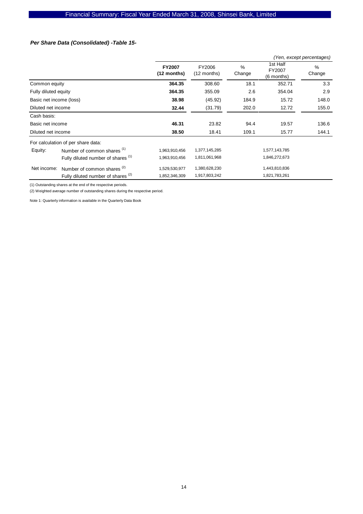#### *Per Share Data (Consolidated) -Table 15-*

|                         |                                               |                              |                         |             |                                    | (Yen, except percentages) |
|-------------------------|-----------------------------------------------|------------------------------|-------------------------|-------------|------------------------------------|---------------------------|
|                         |                                               | <b>FY2007</b><br>(12 months) | FY2006<br>$(12$ months) | %<br>Change | 1st Half<br>FY2007<br>$(6$ months) | %<br>Change               |
| Common equity           |                                               | 364.35                       | 308.60                  | 18.1        | 352.71                             | 3.3                       |
| Fully diluted equity    |                                               | 364.35                       | 355.09                  | 2.6         | 354.04                             | 2.9                       |
| Basic net income (loss) |                                               | 38.98                        | (45.92)                 | 184.9       | 15.72                              | 148.0                     |
| Diluted net income      |                                               | 32.44                        | (31.79)                 | 202.0       | 12.72                              | 155.0                     |
| Cash basis:             |                                               |                              |                         |             |                                    |                           |
| Basic net income        |                                               | 46.31                        | 23.82                   | 94.4        | 19.57                              | 136.6                     |
| Diluted net income      |                                               | 38.50                        | 18.41                   | 109.1       | 15.77                              | 144.1                     |
|                         | For calculation of per share data:            |                              |                         |             |                                    |                           |
| Equity:                 | Number of common shares (1)                   | 1,963,910,456                | 1,377,145,285           |             | 1,577,143,785                      |                           |
|                         | Fully diluted number of shares (1)            | 1,963,910,456                | 1,811,061,968           |             | 1,846,272,673                      |                           |
| Net income:             | Number of common shares $(2)$                 | 1,529,530,977                | 1,380,628,230           |             | 1,443,810,836                      |                           |
|                         | Fully diluted number of shares <sup>(2)</sup> | 1,852,346,309                | 1,917,803,242           |             | 1,821,783,261                      |                           |

(1) Outstanding shares at the end of the respective periods.

(2) Weighted average number of outstanding shares during the respective period.

Note 1: Quarterly information is available in the Quarterly Data Book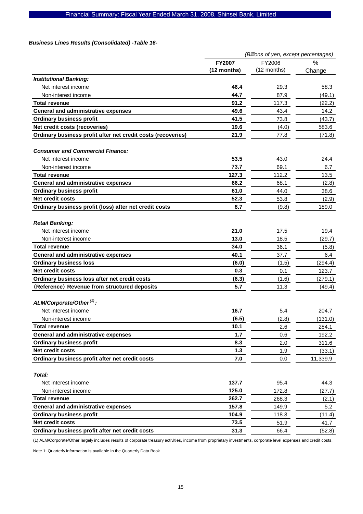# Financial Summary: Fiscal Year Ended March 31, 2008, Shinsei Bank, Limited

#### *Business Lines Results (Consolidated) -Table 16-*

| $\%$<br><b>FY2007</b><br>FY2006<br>(12 months)<br>(12 months)<br>Change<br><b>Institutional Banking:</b><br>46.4<br>Net interest income<br>29.3<br>58.3<br>44.7<br>87.9<br>Non-interest income<br>91.2<br>117.3<br><b>Total revenue</b><br>(22.2)<br>General and administrative expenses<br>49.6<br>43.4<br>14.2<br><b>Ordinary business profit</b><br>41.5<br>73.8<br>Net credit costs (recoveries)<br>19.6<br>583.6<br>(4.0)<br>Ordinary business profit after net credit costs (recoveries)<br>21.9<br>77.8<br><b>Consumer and Commercial Finance:</b><br>53.5<br>Net interest income<br>43.0<br>24.4<br>73.7<br>69.1<br>Non-interest income<br>6.7<br>127.3<br>112.2<br>13.5<br><b>Total revenue</b><br><b>General and administrative expenses</b><br>66.2<br>68.1<br><b>Ordinary business profit</b><br>61.0<br>44.0<br>38.6<br><b>Net credit costs</b><br>52.3<br>53.8<br>8.7<br>Ordinary business profit (loss) after net credit costs<br>(9.8)<br>189.0<br><b>Retail Banking:</b><br>21.0<br>Net interest income<br>17.5<br>19.4<br>13.0<br>18.5<br>Non-interest income<br>(29.7)<br>34.0<br>36.1<br><b>Total revenue</b><br>(5.8)<br><b>General and administrative expenses</b><br>40.1<br>37.7<br>6.4<br><b>Ordinary business loss</b><br>(6.0)<br>(1.5)<br>(294.4)<br><b>Net credit costs</b><br>123.7<br>0.3<br>0.1<br>Ordinary business loss after net credit costs<br>(6.3)<br>(1.6)<br>(279.1)<br>(Reference) Revenue from structured deposits<br>5.7<br>11.3<br>ALM/Corporate/Other <sup>(1)</sup> :<br>16.7<br>Net interest income<br>5.4<br>204.7<br>(6.5)<br>(2.8)<br>Non-interest income<br>(131.0)<br>Total revenue<br>10.1<br>2.6<br>284.1<br>1.7<br><b>General and administrative expenses</b><br>192.2<br>0.6<br><b>Ordinary business profit</b><br>311.6<br>8.3<br>2.0<br>Net credit costs<br>1.3<br>1.9<br>Ordinary business profit after net credit costs<br>7.0<br>0.0<br>11,339.9<br>Total:<br>137.7<br>Net interest income<br>95.4<br>44.3<br>125.0<br>Non-interest income<br>172.8<br>(27.7)<br>262.7<br><b>Total revenue</b><br>268.3<br>(2.1) |                                     | (Billions of yen, except percentages) |       |        |  |
|--------------------------------------------------------------------------------------------------------------------------------------------------------------------------------------------------------------------------------------------------------------------------------------------------------------------------------------------------------------------------------------------------------------------------------------------------------------------------------------------------------------------------------------------------------------------------------------------------------------------------------------------------------------------------------------------------------------------------------------------------------------------------------------------------------------------------------------------------------------------------------------------------------------------------------------------------------------------------------------------------------------------------------------------------------------------------------------------------------------------------------------------------------------------------------------------------------------------------------------------------------------------------------------------------------------------------------------------------------------------------------------------------------------------------------------------------------------------------------------------------------------------------------------------------------------------------------------------------------------------------------------------------------------------------------------------------------------------------------------------------------------------------------------------------------------------------------------------------------------------------------------------------------------------------------------------------------------------------------------------------------------------------------------------------------------------------------|-------------------------------------|---------------------------------------|-------|--------|--|
|                                                                                                                                                                                                                                                                                                                                                                                                                                                                                                                                                                                                                                                                                                                                                                                                                                                                                                                                                                                                                                                                                                                                                                                                                                                                                                                                                                                                                                                                                                                                                                                                                                                                                                                                                                                                                                                                                                                                                                                                                                                                                |                                     |                                       |       |        |  |
|                                                                                                                                                                                                                                                                                                                                                                                                                                                                                                                                                                                                                                                                                                                                                                                                                                                                                                                                                                                                                                                                                                                                                                                                                                                                                                                                                                                                                                                                                                                                                                                                                                                                                                                                                                                                                                                                                                                                                                                                                                                                                |                                     |                                       |       |        |  |
|                                                                                                                                                                                                                                                                                                                                                                                                                                                                                                                                                                                                                                                                                                                                                                                                                                                                                                                                                                                                                                                                                                                                                                                                                                                                                                                                                                                                                                                                                                                                                                                                                                                                                                                                                                                                                                                                                                                                                                                                                                                                                |                                     |                                       |       |        |  |
|                                                                                                                                                                                                                                                                                                                                                                                                                                                                                                                                                                                                                                                                                                                                                                                                                                                                                                                                                                                                                                                                                                                                                                                                                                                                                                                                                                                                                                                                                                                                                                                                                                                                                                                                                                                                                                                                                                                                                                                                                                                                                |                                     |                                       |       |        |  |
|                                                                                                                                                                                                                                                                                                                                                                                                                                                                                                                                                                                                                                                                                                                                                                                                                                                                                                                                                                                                                                                                                                                                                                                                                                                                                                                                                                                                                                                                                                                                                                                                                                                                                                                                                                                                                                                                                                                                                                                                                                                                                |                                     |                                       |       | (49.1) |  |
|                                                                                                                                                                                                                                                                                                                                                                                                                                                                                                                                                                                                                                                                                                                                                                                                                                                                                                                                                                                                                                                                                                                                                                                                                                                                                                                                                                                                                                                                                                                                                                                                                                                                                                                                                                                                                                                                                                                                                                                                                                                                                |                                     |                                       |       |        |  |
|                                                                                                                                                                                                                                                                                                                                                                                                                                                                                                                                                                                                                                                                                                                                                                                                                                                                                                                                                                                                                                                                                                                                                                                                                                                                                                                                                                                                                                                                                                                                                                                                                                                                                                                                                                                                                                                                                                                                                                                                                                                                                |                                     |                                       |       |        |  |
|                                                                                                                                                                                                                                                                                                                                                                                                                                                                                                                                                                                                                                                                                                                                                                                                                                                                                                                                                                                                                                                                                                                                                                                                                                                                                                                                                                                                                                                                                                                                                                                                                                                                                                                                                                                                                                                                                                                                                                                                                                                                                |                                     |                                       |       | (43.7) |  |
|                                                                                                                                                                                                                                                                                                                                                                                                                                                                                                                                                                                                                                                                                                                                                                                                                                                                                                                                                                                                                                                                                                                                                                                                                                                                                                                                                                                                                                                                                                                                                                                                                                                                                                                                                                                                                                                                                                                                                                                                                                                                                |                                     |                                       |       |        |  |
|                                                                                                                                                                                                                                                                                                                                                                                                                                                                                                                                                                                                                                                                                                                                                                                                                                                                                                                                                                                                                                                                                                                                                                                                                                                                                                                                                                                                                                                                                                                                                                                                                                                                                                                                                                                                                                                                                                                                                                                                                                                                                |                                     |                                       |       | (71.8) |  |
|                                                                                                                                                                                                                                                                                                                                                                                                                                                                                                                                                                                                                                                                                                                                                                                                                                                                                                                                                                                                                                                                                                                                                                                                                                                                                                                                                                                                                                                                                                                                                                                                                                                                                                                                                                                                                                                                                                                                                                                                                                                                                |                                     |                                       |       |        |  |
|                                                                                                                                                                                                                                                                                                                                                                                                                                                                                                                                                                                                                                                                                                                                                                                                                                                                                                                                                                                                                                                                                                                                                                                                                                                                                                                                                                                                                                                                                                                                                                                                                                                                                                                                                                                                                                                                                                                                                                                                                                                                                |                                     |                                       |       |        |  |
|                                                                                                                                                                                                                                                                                                                                                                                                                                                                                                                                                                                                                                                                                                                                                                                                                                                                                                                                                                                                                                                                                                                                                                                                                                                                                                                                                                                                                                                                                                                                                                                                                                                                                                                                                                                                                                                                                                                                                                                                                                                                                |                                     |                                       |       |        |  |
|                                                                                                                                                                                                                                                                                                                                                                                                                                                                                                                                                                                                                                                                                                                                                                                                                                                                                                                                                                                                                                                                                                                                                                                                                                                                                                                                                                                                                                                                                                                                                                                                                                                                                                                                                                                                                                                                                                                                                                                                                                                                                |                                     |                                       |       |        |  |
|                                                                                                                                                                                                                                                                                                                                                                                                                                                                                                                                                                                                                                                                                                                                                                                                                                                                                                                                                                                                                                                                                                                                                                                                                                                                                                                                                                                                                                                                                                                                                                                                                                                                                                                                                                                                                                                                                                                                                                                                                                                                                |                                     |                                       |       | (2.8)  |  |
|                                                                                                                                                                                                                                                                                                                                                                                                                                                                                                                                                                                                                                                                                                                                                                                                                                                                                                                                                                                                                                                                                                                                                                                                                                                                                                                                                                                                                                                                                                                                                                                                                                                                                                                                                                                                                                                                                                                                                                                                                                                                                |                                     |                                       |       |        |  |
|                                                                                                                                                                                                                                                                                                                                                                                                                                                                                                                                                                                                                                                                                                                                                                                                                                                                                                                                                                                                                                                                                                                                                                                                                                                                                                                                                                                                                                                                                                                                                                                                                                                                                                                                                                                                                                                                                                                                                                                                                                                                                |                                     |                                       |       | (2.9)  |  |
|                                                                                                                                                                                                                                                                                                                                                                                                                                                                                                                                                                                                                                                                                                                                                                                                                                                                                                                                                                                                                                                                                                                                                                                                                                                                                                                                                                                                                                                                                                                                                                                                                                                                                                                                                                                                                                                                                                                                                                                                                                                                                |                                     |                                       |       |        |  |
|                                                                                                                                                                                                                                                                                                                                                                                                                                                                                                                                                                                                                                                                                                                                                                                                                                                                                                                                                                                                                                                                                                                                                                                                                                                                                                                                                                                                                                                                                                                                                                                                                                                                                                                                                                                                                                                                                                                                                                                                                                                                                |                                     |                                       |       |        |  |
|                                                                                                                                                                                                                                                                                                                                                                                                                                                                                                                                                                                                                                                                                                                                                                                                                                                                                                                                                                                                                                                                                                                                                                                                                                                                                                                                                                                                                                                                                                                                                                                                                                                                                                                                                                                                                                                                                                                                                                                                                                                                                |                                     |                                       |       |        |  |
|                                                                                                                                                                                                                                                                                                                                                                                                                                                                                                                                                                                                                                                                                                                                                                                                                                                                                                                                                                                                                                                                                                                                                                                                                                                                                                                                                                                                                                                                                                                                                                                                                                                                                                                                                                                                                                                                                                                                                                                                                                                                                |                                     |                                       |       |        |  |
|                                                                                                                                                                                                                                                                                                                                                                                                                                                                                                                                                                                                                                                                                                                                                                                                                                                                                                                                                                                                                                                                                                                                                                                                                                                                                                                                                                                                                                                                                                                                                                                                                                                                                                                                                                                                                                                                                                                                                                                                                                                                                |                                     |                                       |       |        |  |
|                                                                                                                                                                                                                                                                                                                                                                                                                                                                                                                                                                                                                                                                                                                                                                                                                                                                                                                                                                                                                                                                                                                                                                                                                                                                                                                                                                                                                                                                                                                                                                                                                                                                                                                                                                                                                                                                                                                                                                                                                                                                                |                                     |                                       |       |        |  |
|                                                                                                                                                                                                                                                                                                                                                                                                                                                                                                                                                                                                                                                                                                                                                                                                                                                                                                                                                                                                                                                                                                                                                                                                                                                                                                                                                                                                                                                                                                                                                                                                                                                                                                                                                                                                                                                                                                                                                                                                                                                                                |                                     |                                       |       |        |  |
|                                                                                                                                                                                                                                                                                                                                                                                                                                                                                                                                                                                                                                                                                                                                                                                                                                                                                                                                                                                                                                                                                                                                                                                                                                                                                                                                                                                                                                                                                                                                                                                                                                                                                                                                                                                                                                                                                                                                                                                                                                                                                |                                     |                                       |       |        |  |
|                                                                                                                                                                                                                                                                                                                                                                                                                                                                                                                                                                                                                                                                                                                                                                                                                                                                                                                                                                                                                                                                                                                                                                                                                                                                                                                                                                                                                                                                                                                                                                                                                                                                                                                                                                                                                                                                                                                                                                                                                                                                                |                                     |                                       |       |        |  |
|                                                                                                                                                                                                                                                                                                                                                                                                                                                                                                                                                                                                                                                                                                                                                                                                                                                                                                                                                                                                                                                                                                                                                                                                                                                                                                                                                                                                                                                                                                                                                                                                                                                                                                                                                                                                                                                                                                                                                                                                                                                                                |                                     |                                       |       | (49.4) |  |
|                                                                                                                                                                                                                                                                                                                                                                                                                                                                                                                                                                                                                                                                                                                                                                                                                                                                                                                                                                                                                                                                                                                                                                                                                                                                                                                                                                                                                                                                                                                                                                                                                                                                                                                                                                                                                                                                                                                                                                                                                                                                                |                                     |                                       |       |        |  |
|                                                                                                                                                                                                                                                                                                                                                                                                                                                                                                                                                                                                                                                                                                                                                                                                                                                                                                                                                                                                                                                                                                                                                                                                                                                                                                                                                                                                                                                                                                                                                                                                                                                                                                                                                                                                                                                                                                                                                                                                                                                                                |                                     |                                       |       |        |  |
|                                                                                                                                                                                                                                                                                                                                                                                                                                                                                                                                                                                                                                                                                                                                                                                                                                                                                                                                                                                                                                                                                                                                                                                                                                                                                                                                                                                                                                                                                                                                                                                                                                                                                                                                                                                                                                                                                                                                                                                                                                                                                |                                     |                                       |       |        |  |
|                                                                                                                                                                                                                                                                                                                                                                                                                                                                                                                                                                                                                                                                                                                                                                                                                                                                                                                                                                                                                                                                                                                                                                                                                                                                                                                                                                                                                                                                                                                                                                                                                                                                                                                                                                                                                                                                                                                                                                                                                                                                                |                                     |                                       |       |        |  |
|                                                                                                                                                                                                                                                                                                                                                                                                                                                                                                                                                                                                                                                                                                                                                                                                                                                                                                                                                                                                                                                                                                                                                                                                                                                                                                                                                                                                                                                                                                                                                                                                                                                                                                                                                                                                                                                                                                                                                                                                                                                                                |                                     |                                       |       |        |  |
|                                                                                                                                                                                                                                                                                                                                                                                                                                                                                                                                                                                                                                                                                                                                                                                                                                                                                                                                                                                                                                                                                                                                                                                                                                                                                                                                                                                                                                                                                                                                                                                                                                                                                                                                                                                                                                                                                                                                                                                                                                                                                |                                     |                                       |       |        |  |
|                                                                                                                                                                                                                                                                                                                                                                                                                                                                                                                                                                                                                                                                                                                                                                                                                                                                                                                                                                                                                                                                                                                                                                                                                                                                                                                                                                                                                                                                                                                                                                                                                                                                                                                                                                                                                                                                                                                                                                                                                                                                                |                                     |                                       |       | (33.1) |  |
|                                                                                                                                                                                                                                                                                                                                                                                                                                                                                                                                                                                                                                                                                                                                                                                                                                                                                                                                                                                                                                                                                                                                                                                                                                                                                                                                                                                                                                                                                                                                                                                                                                                                                                                                                                                                                                                                                                                                                                                                                                                                                |                                     |                                       |       |        |  |
|                                                                                                                                                                                                                                                                                                                                                                                                                                                                                                                                                                                                                                                                                                                                                                                                                                                                                                                                                                                                                                                                                                                                                                                                                                                                                                                                                                                                                                                                                                                                                                                                                                                                                                                                                                                                                                                                                                                                                                                                                                                                                |                                     |                                       |       |        |  |
|                                                                                                                                                                                                                                                                                                                                                                                                                                                                                                                                                                                                                                                                                                                                                                                                                                                                                                                                                                                                                                                                                                                                                                                                                                                                                                                                                                                                                                                                                                                                                                                                                                                                                                                                                                                                                                                                                                                                                                                                                                                                                |                                     |                                       |       |        |  |
|                                                                                                                                                                                                                                                                                                                                                                                                                                                                                                                                                                                                                                                                                                                                                                                                                                                                                                                                                                                                                                                                                                                                                                                                                                                                                                                                                                                                                                                                                                                                                                                                                                                                                                                                                                                                                                                                                                                                                                                                                                                                                |                                     |                                       |       |        |  |
|                                                                                                                                                                                                                                                                                                                                                                                                                                                                                                                                                                                                                                                                                                                                                                                                                                                                                                                                                                                                                                                                                                                                                                                                                                                                                                                                                                                                                                                                                                                                                                                                                                                                                                                                                                                                                                                                                                                                                                                                                                                                                |                                     |                                       |       |        |  |
|                                                                                                                                                                                                                                                                                                                                                                                                                                                                                                                                                                                                                                                                                                                                                                                                                                                                                                                                                                                                                                                                                                                                                                                                                                                                                                                                                                                                                                                                                                                                                                                                                                                                                                                                                                                                                                                                                                                                                                                                                                                                                | General and administrative expenses | 157.8                                 | 149.9 | 5.2    |  |
| <b>Ordinary business profit</b><br>104.9<br>118.3                                                                                                                                                                                                                                                                                                                                                                                                                                                                                                                                                                                                                                                                                                                                                                                                                                                                                                                                                                                                                                                                                                                                                                                                                                                                                                                                                                                                                                                                                                                                                                                                                                                                                                                                                                                                                                                                                                                                                                                                                              |                                     |                                       |       | (11.4) |  |
| Net credit costs<br>73.5<br>41.7<br>51.9                                                                                                                                                                                                                                                                                                                                                                                                                                                                                                                                                                                                                                                                                                                                                                                                                                                                                                                                                                                                                                                                                                                                                                                                                                                                                                                                                                                                                                                                                                                                                                                                                                                                                                                                                                                                                                                                                                                                                                                                                                       |                                     |                                       |       |        |  |
| Ordinary business profit after net credit costs<br>31.3<br>66.4                                                                                                                                                                                                                                                                                                                                                                                                                                                                                                                                                                                                                                                                                                                                                                                                                                                                                                                                                                                                                                                                                                                                                                                                                                                                                                                                                                                                                                                                                                                                                                                                                                                                                                                                                                                                                                                                                                                                                                                                                |                                     |                                       |       | (52.8) |  |

(1) ALM/Corporate/Other largely includes results of corporate treasury activities, income from proprietary investments, corporate level expenses and credit costs.

Note 1: Quarterly information is available in the Quarterly Data Book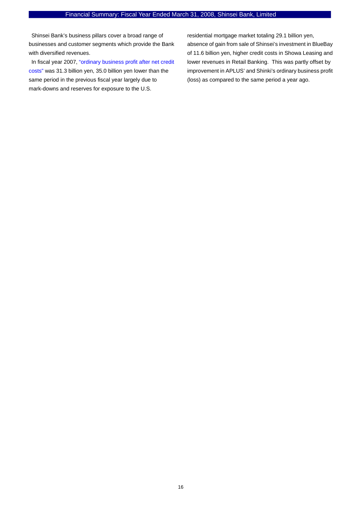Shinsei Bank's business pillars cover a broad range of businesses and customer segments which provide the Bank with diversified revenues.

In fiscal year 2007, "ordinary business profit after net credit costs" was 31.3 billion yen, 35.0 billion yen lower than the same period in the previous fiscal year largely due to mark-downs and reserves for exposure to the U.S.

residential mortgage market totaling 29.1 billion yen, absence of gain from sale of Shinsei's investment in BlueBay of 11.6 billion yen, higher credit costs in Showa Leasing and lower revenues in Retail Banking. This was partly offset by improvement in APLUS' and Shinki's ordinary business profit (loss) as compared to the same period a year ago.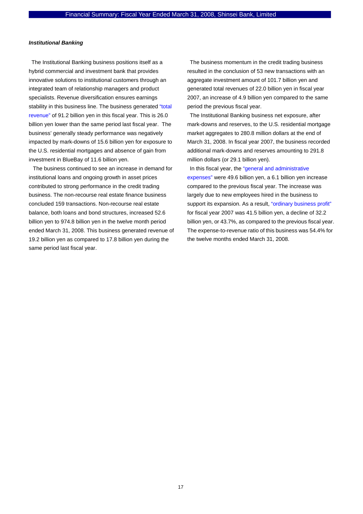#### *Institutional Banking*

The Institutional Banking business positions itself as a hybrid commercial and investment bank that provides innovative solutions to institutional customers through an integrated team of relationship managers and product specialists. Revenue diversification ensures earnings stability in this business line. The business generated "total revenue" of 91.2 billion yen in this fiscal year. This is 26.0 billion yen lower than the same period last fiscal year. The business' generally steady performance was negatively impacted by mark-downs of 15.6 billion yen for exposure to the U.S. residential mortgages and absence of gain from investment in BlueBay of 11.6 billion yen.

 The business continued to see an increase in demand for institutional loans and ongoing growth in asset prices contributed to strong performance in the credit trading business. The non-recourse real estate finance business concluded 159 transactions. Non-recourse real estate balance, both loans and bond structures, increased 52.6 billion yen to 974.8 billion yen in the twelve month period ended March 31, 2008. This business generated revenue of 19.2 billion yen as compared to 17.8 billion yen during the same period last fiscal year.

The business momentum in the credit trading business resulted in the conclusion of 53 new transactions with an aggregate investment amount of 101.7 billion yen and generated total revenues of 22.0 billion yen in fiscal year 2007, an increase of 4.9 billion yen compared to the same period the previous fiscal year.

The Institutional Banking business net exposure, after mark-downs and reserves, to the U.S. residential mortgage market aggregates to 280.8 million dollars at the end of March 31, 2008. In fiscal year 2007, the business recorded additional mark-downs and reserves amounting to 291.8 million dollars (or 29.1 billion yen).

In this fiscal year, the "general and administrative expenses" were 49.6 billion yen, a 6.1 billion yen increase compared to the previous fiscal year. The increase was largely due to new employees hired in the business to support its expansion. As a result, "ordinary business profit" for fiscal year 2007 was 41.5 billion yen, a decline of 32.2 billion yen, or 43.7%, as compared to the previous fiscal year. The expense-to-revenue ratio of this business was 54.4% for the twelve months ended March 31, 2008.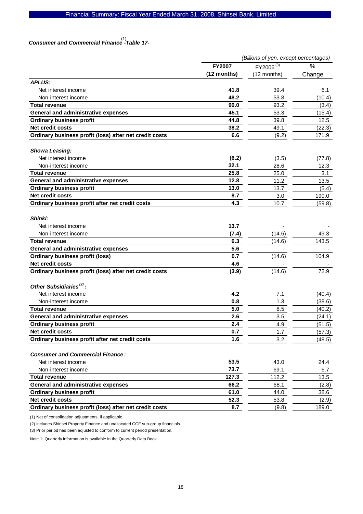# *Consumer and Commercial Finance -Table 17-*  (1)

|                                                        | (Billions of yen, except percentages) |                       |        |  |
|--------------------------------------------------------|---------------------------------------|-----------------------|--------|--|
|                                                        | <b>FY2007</b>                         | FY2006 <sup>(3)</sup> | $\%$   |  |
|                                                        | (12 months)                           | (12 months)           | Change |  |
| <b>APLUS:</b>                                          |                                       |                       |        |  |
| Net interest income                                    | 41.8                                  | 39.4                  | 6.1    |  |
| Non-interest income                                    | 48.2                                  | 53.8                  | (10.4) |  |
| <b>Total revenue</b>                                   | 90.0                                  | 93.2                  | (3.4)  |  |
| General and administrative expenses                    | 45.1                                  | 53.3                  | (15.4) |  |
| <b>Ordinary business profit</b>                        | 44.8                                  | 39.8                  | 12.5   |  |
| <b>Net credit costs</b>                                | 38.2                                  | 49.1                  | (22.3) |  |
| Ordinary business profit (loss) after net credit costs | 6.6                                   | (9.2)                 | 171.9  |  |
|                                                        |                                       |                       |        |  |
| <b>Showa Leasing:</b>                                  |                                       |                       |        |  |
| Net interest income                                    | (6.2)                                 | (3.5)                 | (77.8) |  |
| Non-interest income                                    | 32.1                                  | 28.6                  | 12.3   |  |
| <b>Total revenue</b>                                   | 25.8                                  | 25.0                  | 3.1    |  |
| <b>General and administrative expenses</b>             | 12.8                                  | 11.2                  | 13.5   |  |
| <b>Ordinary business profit</b>                        | 13.0                                  | 13.7                  | (5.4)  |  |
| Net credit costs                                       | 8.7                                   | 3.0                   | 190.0  |  |
| Ordinary business profit after net credit costs        | 4.3                                   | 10.7                  | (59.8) |  |
|                                                        |                                       |                       |        |  |
| Shinki:                                                |                                       |                       |        |  |
| Net interest income                                    | 13.7                                  |                       |        |  |
| Non-interest income                                    | (7.4)                                 | (14.6)                | 49.3   |  |
| <b>Total revenue</b>                                   | 6.3                                   | (14.6)                | 143.5  |  |
| General and administrative expenses                    | 5.6                                   |                       |        |  |
| <b>Ordinary business profit (loss)</b>                 | 0.7                                   | (14.6)                | 104.9  |  |
| <b>Net credit costs</b>                                | 4.6                                   |                       |        |  |
| Ordinary business profit (loss) after net credit costs | (3.9)                                 | (14.6)                | 72.9   |  |
|                                                        |                                       |                       |        |  |
| Other Subsidiaries <sup>(2)</sup> :                    |                                       |                       |        |  |
| Net interest income                                    | 4.2                                   | 7.1                   | (40.4) |  |
| Non-interest income                                    | 0.8                                   | 1.3                   | (38.6) |  |
| <b>Total revenue</b>                                   | 5.0                                   | 8.5                   | (40.2) |  |
| General and administrative expenses                    | 2.6                                   | 3.5                   | (24.1) |  |
| <b>Ordinary business profit</b>                        | 2.4                                   | 4.9                   | (51.5) |  |
| Net credit costs                                       | 0.7                                   | 1.7                   | (57.3) |  |
| Ordinary business profit after net credit costs        | 1.6                                   | 3.2                   | (48.5) |  |
| <b>Consumer and Commercial Finance:</b>                |                                       |                       |        |  |
|                                                        |                                       |                       |        |  |
| Net interest income                                    | 53.5                                  | 43.0                  | 24.4   |  |
| Non-interest income                                    | 73.7                                  | 69.1                  | 6.7    |  |
| <b>Total revenue</b>                                   | 127.3                                 | 112.2                 | 13.5   |  |
| General and administrative expenses                    | 66.2                                  | 68.1                  | (2.8)  |  |
| <b>Ordinary business profit</b>                        | 61.0                                  | 44.0                  | 38.6   |  |
| Net credit costs                                       | 52.3                                  | 53.8                  | (2.9)  |  |
| Ordinary business profit (loss) after net credit costs | 8.7                                   | (9.8)                 | 189.0  |  |

(1) Net of consolidation adjustments, if applicable.

(2) Includes Shinsei Property Finance and unallocated CCF sub-group financials.

(3) Prior period has been adjusted to conform to current period presentation.

Note 1: Quarterly information is available in the Quarterly Data Book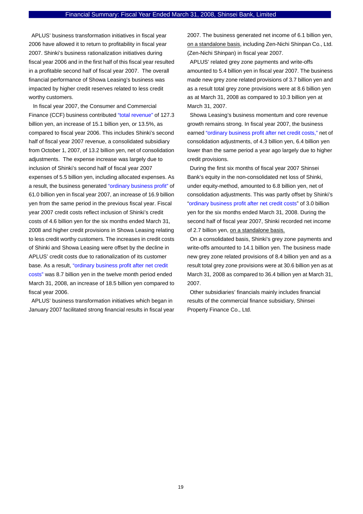APLUS' business transformation initiatives in fiscal year 2006 have allowed it to return to profitability in fiscal year 2007. Shinki's business rationalization initiatives during fiscal year 2006 and in the first half of this fiscal year resulted in a profitable second half of fiscal year 2007. The overall financial performance of Showa Leasing's business was impacted by higher credit reserves related to less credit worthy customers.

 In fiscal year 2007, the Consumer and Commercial Finance (CCF) business contributed "total revenue" of 127.3 billion yen, an increase of 15.1 billion yen, or 13.5%, as compared to fiscal year 2006. This includes Shinki's second half of fiscal year 2007 revenue, a consolidated subsidiary from October 1, 2007, of 13.2 billion yen, net of consolidation adjustments. The expense increase was largely due to inclusion of Shinki's second half of fiscal year 2007 expenses of 5.5 billion yen, including allocated expenses. As a result, the business generated "ordinary business profit" of 61.0 billion yen in fiscal year 2007, an increase of 16.9 billion yen from the same period in the previous fiscal year. Fiscal year 2007 credit costs reflect inclusion of Shinki's credit costs of 4.6 billion yen for the six months ended March 31, 2008 and higher credit provisions in Showa Leasing relating to less credit worthy customers. The increases in credit costs of Shinki and Showa Leasing were offset by the decline in APLUS' credit costs due to rationalization of its customer base. As a result, "ordinary business profit after net credit costs" was 8.7 billion yen in the twelve month period ended March 31, 2008, an increase of 18.5 billion yen compared to fiscal year 2006.

APLUS' business transformation initiatives which began in January 2007 facilitated strong financial results in fiscal year 2007. The business generated net income of 6.1 billion yen, on a standalone basis, including Zen-Nichi Shinpan Co., Ltd. (Zen-Nichi Shinpan) in fiscal year 2007.

APLUS' related grey zone payments and write-offs amounted to 5.4 billion yen in fiscal year 2007. The business made new grey zone related provisions of 3.7 billion yen and as a result total grey zone provisions were at 8.6 billion yen as at March 31, 2008 as compared to 10.3 billion yen at March 31, 2007.

Showa Leasing's business momentum and core revenue growth remains strong. In fiscal year 2007, the business earned "ordinary business profit after net credit costs," net of consolidation adjustments, of 4.3 billion yen, 6.4 billion yen lower than the same period a year ago largely due to higher credit provisions.

During the first six months of fiscal year 2007 Shinsei Bank's equity in the non-consolidated net loss of Shinki, under equity-method, amounted to 6.8 billion yen, net of consolidation adjustments. This was partly offset by Shinki's "ordinary business profit after net credit costs" of 3.0 billion yen for the six months ended March 31, 2008. During the second half of fiscal year 2007, Shinki recorded net income of 2.7 billion yen, on a standalone basis.

On a consolidated basis, Shinki's grey zone payments and write-offs amounted to 14.1 billion yen. The business made new grey zone related provisions of 8.4 billion yen and as a result total grey zone provisions were at 30.6 billion yen as at March 31, 2008 as compared to 36.4 billion yen at March 31, 2007.

Other subsidiaries' financials mainly includes financial results of the commercial finance subsidiary, Shinsei Property Finance Co., Ltd.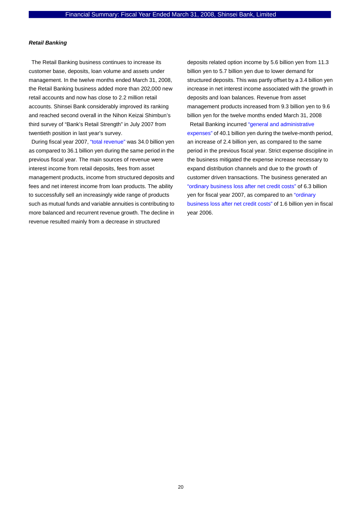#### *Retail Banking*

The Retail Banking business continues to increase its customer base, deposits, loan volume and assets under management. In the twelve months ended March 31, 2008, the Retail Banking business added more than 202,000 new retail accounts and now has close to 2.2 million retail accounts. Shinsei Bank considerably improved its ranking and reached second overall in the Nihon Keizai Shimbun's third survey of "Bank's Retail Strength" in July 2007 from twentieth position in last year's survey.

During fiscal year 2007, "total revenue" was 34.0 billion yen as compared to 36.1 billion yen during the same period in the previous fiscal year. The main sources of revenue were interest income from retail deposits, fees from asset management products, income from structured deposits and fees and net interest income from loan products. The ability to successfully sell an increasingly wide range of products such as mutual funds and variable annuities is contributing to more balanced and recurrent revenue growth. The decline in revenue resulted mainly from a decrease in structured

deposits related option income by 5.6 billion yen from 11.3 billion yen to 5.7 billion yen due to lower demand for structured deposits. This was partly offset by a 3.4 billion yen increase in net interest income associated with the growth in deposits and loan balances. Revenue from asset management products increased from 9.3 billion yen to 9.6 billion yen for the twelve months ended March 31, 2008

Retail Banking incurred "general and administrative expenses" of 40.1 billion yen during the twelve-month period, an increase of 2.4 billion yen, as compared to the same period in the previous fiscal year. Strict expense discipline in the business mitigated the expense increase necessary to expand distribution channels and due to the growth of customer driven transactions. The business generated an "ordinary business loss after net credit costs" of 6.3 billion yen for fiscal year 2007, as compared to an "ordinary business loss after net credit costs" of 1.6 billion yen in fiscal year 2006.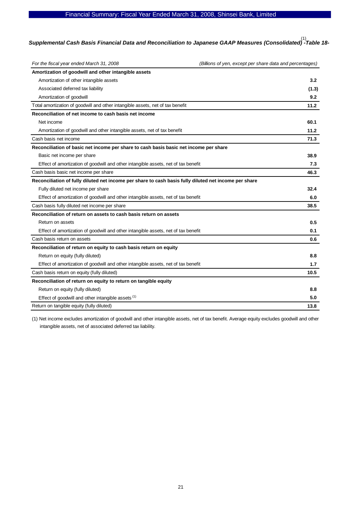### Financial Summary: Fiscal Year Ended March 31, 2008, Shinsei Bank, Limited

# *Supplemental Cash Basis Financial Data and Reconciliation to Japanese GAAP Measures (Consolidated) -Table 18-*  (1)

| For the fiscal year ended March 31, 2008                                                              | (Billions of yen, except per share data and percentages) |
|-------------------------------------------------------------------------------------------------------|----------------------------------------------------------|
| Amortization of goodwill and other intangible assets                                                  |                                                          |
| Amortization of other intangible assets                                                               | 3.2                                                      |
| Associated deferred tax liability                                                                     | (1.3)                                                    |
| Amortization of goodwill                                                                              | 9.2                                                      |
| Total amortization of goodwill and other intangible assets, net of tax benefit                        | 11.2                                                     |
| Reconciliation of net income to cash basis net income                                                 |                                                          |
| Net income                                                                                            | 60.1                                                     |
| Amortization of goodwill and other intangible assets, net of tax benefit                              | 11.2                                                     |
| Cash basis net income                                                                                 | 71.3                                                     |
| Reconciliation of basic net income per share to cash basis basic net income per share                 |                                                          |
| Basic net income per share                                                                            | 38.9                                                     |
| Effect of amortization of goodwill and other intangible assets, net of tax benefit                    | 7.3                                                      |
| Cash basis basic net income per share                                                                 | 46.3                                                     |
| Reconciliation of fully diluted net income per share to cash basis fully diluted net income per share |                                                          |
| Fully diluted net income per share                                                                    | 32.4                                                     |
| Effect of amortization of goodwill and other intangible assets, net of tax benefit                    | 6.0                                                      |
| Cash basis fully diluted net income per share                                                         | 38.5                                                     |
| Reconciliation of return on assets to cash basis return on assets                                     |                                                          |
| Return on assets                                                                                      | 0.5                                                      |
| Effect of amortization of goodwill and other intangible assets, net of tax benefit                    | 0.1                                                      |
| Cash basis return on assets                                                                           | 0.6                                                      |
| Reconciliation of return on equity to cash basis return on equity                                     |                                                          |
| Return on equity (fully diluted)                                                                      | 8.8                                                      |
| Effect of amortization of goodwill and other intangible assets, net of tax benefit                    | 1.7                                                      |
| Cash basis return on equity (fully diluted)                                                           | 10.5                                                     |
| Reconciliation of return on equity to return on tangible equity                                       |                                                          |
| Return on equity (fully diluted)                                                                      | 8.8                                                      |
| Effect of goodwill and other intangible assets (1)                                                    | 5.0                                                      |
| Return on tangible equity (fully diluted)                                                             | 13.8                                                     |

(1) Net income excludes amortization of goodwill and other intangible assets, net of tax benefit. Average equity excludes goodwill and other intangible assets, net of associated deferred tax liability.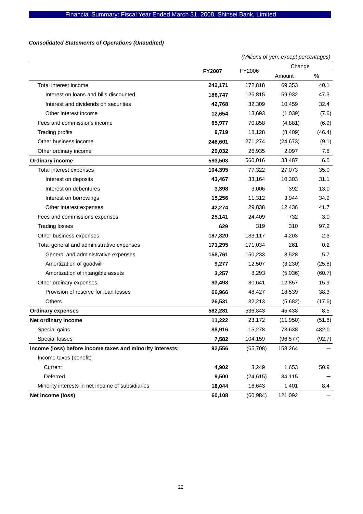# *Consolidated Statements of Operations (Unaudited)*

|                                                           |                         |           | (Millions of yen, except percentages) |        |  |
|-----------------------------------------------------------|-------------------------|-----------|---------------------------------------|--------|--|
|                                                           |                         |           | Change                                |        |  |
|                                                           | <b>FY2007</b><br>FY2006 |           | Amount                                | %      |  |
| Total interest income                                     | 242,171                 | 172,818   | 69,353                                | 40.1   |  |
| Interest on loans and bills discounted                    | 186,747                 | 126,815   | 59,932                                | 47.3   |  |
| Interest and dividends on securities                      | 42,768                  | 32,309    | 10,459                                | 32.4   |  |
| Other interest income                                     | 12,654                  | 13,693    | (1,039)                               | (7.6)  |  |
| Fees and commissions income                               | 65,977                  | 70,858    | (4,881)                               | (6.9)  |  |
| <b>Trading profits</b>                                    | 9,719                   | 18,128    | (8,409)                               | (46.4) |  |
| Other business income                                     | 246,601                 | 271,274   | (24, 673)                             | (9.1)  |  |
| Other ordinary income                                     | 29,032                  | 26,935    | 2,097                                 | 7.8    |  |
| <b>Ordinary income</b>                                    | 593,503                 | 560,016   | 33,487                                | 6.0    |  |
| Total interest expenses                                   | 104,395                 | 77,322    | 27,073                                | 35.0   |  |
| Interest on deposits                                      | 43,467                  | 33,164    | 10,303                                | 31.1   |  |
| Interest on debentures                                    | 3,398                   | 3,006     | 392                                   | 13.0   |  |
| Interest on borrowings                                    | 15,256                  | 11,312    | 3,944                                 | 34.9   |  |
| Other interest expenses                                   | 42,274                  | 29,838    | 12,436                                | 41.7   |  |
| Fees and commissions expenses                             | 25,141                  | 24,409    | 732                                   | 3.0    |  |
| <b>Trading losses</b>                                     | 629                     | 319       | 310                                   | 97.2   |  |
| Other business expenses                                   | 187,320                 | 183,117   | 4,203                                 | 2.3    |  |
| Total general and administrative expenses                 | 171,295                 | 171,034   | 261                                   | 0.2    |  |
| General and administrative expenses                       | 158,761                 | 150,233   | 8,528                                 | 5.7    |  |
| Amortization of goodwill                                  | 9,277                   | 12,507    | (3,230)                               | (25.8) |  |
| Amortization of intangible assets                         | 3,257                   | 8,293     | (5,036)                               | (60.7) |  |
| Other ordinary expenses                                   | 93,498                  | 80,641    | 12,857                                | 15.9   |  |
| Provision of reserve for loan losses                      | 66,966                  | 48,427    | 18,539                                | 38.3   |  |
| <b>Others</b>                                             | 26,531                  | 32,213    | (5,682)                               | (17.6) |  |
| <b>Ordinary expenses</b>                                  | 582,281                 | 536,843   | 45,438                                | 8.5    |  |
| Net ordinary income                                       | 11,222                  | 23,172    | (11, 950)                             | (51.6) |  |
| Special gains                                             | 88,916                  | 15,278    | 73,638                                | 482.0  |  |
| Special losses                                            | 7,582                   | 104,159   | (96, 577)                             | (92.7) |  |
| Income (loss) before income taxes and minority interests: | 92,556                  | (65, 708) | 158,264                               |        |  |
| Income taxes (benefit)                                    |                         |           |                                       |        |  |
| Current                                                   | 4,902                   | 3,249     | 1,653                                 | 50.9   |  |
| Deferred                                                  | 9,500                   | (24, 615) | 34,115                                |        |  |
| Minority interests in net income of subsidiaries          | 18,044                  | 16,643    | 1,401                                 | 8.4    |  |
| Net income (loss)                                         | 60,108                  | (60, 984) | 121,092                               |        |  |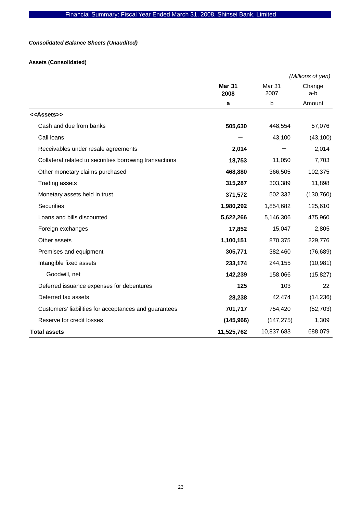# *Consolidated Balance Sheets (Unaudited)*

# **Assets (Consolidated)**

|                                                         |                       |                | (Millions of yen) |
|---------------------------------------------------------|-----------------------|----------------|-------------------|
|                                                         | <b>Mar 31</b><br>2008 | Mar 31<br>2007 | Change<br>a-b     |
|                                                         | a                     | b              | Amount            |
| < <assets>&gt;</assets>                                 |                       |                |                   |
| Cash and due from banks                                 | 505,630               | 448,554        | 57,076            |
| Call loans                                              |                       | 43,100         | (43, 100)         |
| Receivables under resale agreements                     | 2,014                 |                | 2,014             |
| Collateral related to securities borrowing transactions | 18,753                | 11,050         | 7,703             |
| Other monetary claims purchased                         | 468,880               | 366,505        | 102,375           |
| <b>Trading assets</b>                                   | 315,287               | 303,389        | 11,898            |
| Monetary assets held in trust                           | 371,572               | 502,332        | (130, 760)        |
| <b>Securities</b>                                       | 1,980,292             | 1,854,682      | 125,610           |
| Loans and bills discounted                              | 5,622,266             | 5,146,306      | 475,960           |
| Foreign exchanges                                       | 17,852                | 15,047         | 2,805             |
| Other assets                                            | 1,100,151             | 870,375        | 229,776           |
| Premises and equipment                                  | 305,771               | 382,460        | (76, 689)         |
| Intangible fixed assets                                 | 233,174               | 244,155        | (10, 981)         |
| Goodwill, net                                           | 142,239               | 158,066        | (15, 827)         |
| Deferred issuance expenses for debentures               | 125                   | 103            | 22                |
| Deferred tax assets                                     | 28,238                | 42,474         | (14, 236)         |
| Customers' liabilities for acceptances and guarantees   | 701,717               | 754,420        | (52, 703)         |
| Reserve for credit losses                               | (145, 966)            | (147, 275)     | 1,309             |
| <b>Total assets</b>                                     | 11,525,762            | 10,837,683     | 688,079           |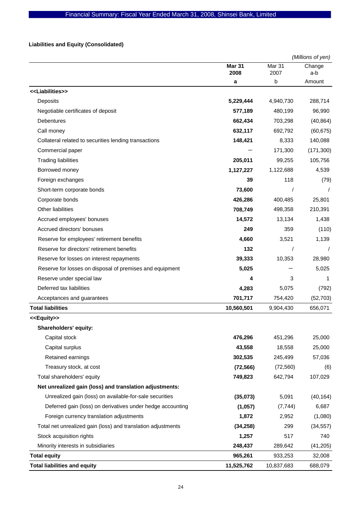# **Liabilities and Equity (Consolidated)**

|                                                              |                       |                | (Millions of yen) |
|--------------------------------------------------------------|-----------------------|----------------|-------------------|
|                                                              | <b>Mar 31</b><br>2008 | Mar 31<br>2007 | Change<br>a-b     |
|                                                              | a                     | b              | Amount            |
| < <liabilities>&gt;</liabilities>                            |                       |                |                   |
| Deposits                                                     | 5,229,444             | 4,940,730      | 288,714           |
| Negotiable certificates of deposit                           | 577,189               | 480,199        | 96,990            |
| <b>Debentures</b>                                            | 662,434               | 703,298        | (40, 864)         |
| Call money                                                   | 632,117               | 692,792        | (60, 675)         |
| Collateral related to securities lending transactions        | 148,421               | 8,333          | 140,088           |
| Commercial paper                                             |                       | 171,300        | (171, 300)        |
| <b>Trading liabilities</b>                                   | 205,011               | 99,255         | 105,756           |
| Borrowed money                                               | 1,127,227             | 1,122,688      | 4,539             |
| Foreign exchanges                                            | 39                    | 118            | (79)              |
| Short-term corporate bonds                                   | 73,600                |                |                   |
| Corporate bonds                                              | 426,286               | 400,485        | 25,801            |
| Other liabilities                                            | 708,749               | 498,358        | 210,391           |
| Accrued employees' bonuses                                   | 14,572                | 13,134         | 1,438             |
| Accrued directors' bonuses                                   | 249                   | 359            | (110)             |
| Reserve for employees' retirement benefits                   | 4,660                 | 3,521          | 1,139             |
| Reserve for directors' retirement benefits                   | 132                   | $\prime$       | $\prime$          |
| Reserve for losses on interest repayments                    | 39,333                | 10,353         | 28,980            |
| Reserve for losses on disposal of premises and equipment     | 5,025                 |                | 5,025             |
| Reserve under special law                                    | 4                     | 3              | 1                 |
| Deferred tax liabilities                                     | 4,283                 | 5,075          | (792)             |
| Acceptances and guarantees                                   | 701,717               | 754,420        | (52, 703)         |
| <b>Total liabilities</b>                                     | 10,560,501            | 9,904,430      | 656,071           |
| < <equity>&gt;</equity>                                      |                       |                |                   |
| Shareholders' equity:                                        |                       |                |                   |
| Capital stock                                                | 476,296               | 451,296        | 25,000            |
| Capital surplus                                              | 43,558                | 18,558         | 25,000            |
| Retained earnings                                            | 302,535               | 245,499        | 57,036            |
| Treasury stock, at cost                                      | (72, 566)             | (72, 560)      | (6)               |
| Total shareholders' equity                                   | 749,823               | 642,794        | 107,029           |
| Net unrealized gain (loss) and translation adjustments:      |                       |                |                   |
| Unrealized gain (loss) on available-for-sale securities      | (35,073)              | 5,091          | (40, 164)         |
| Deferred gain (loss) on derivatives under hedge accounting   | (1,057)               | (7, 744)       | 6,687             |
| Foreign currency translation adjustments                     | 1,872                 | 2,952          | (1,080)           |
| Total net unrealized gain (loss) and translation adjustments | (34, 258)             | 299            | (34, 557)         |
| Stock acquisition rights                                     | 1,257                 | 517            | 740               |
| Minority interests in subsidiaries                           | 248,437               | 289,642        | (41, 205)         |
| <b>Total equity</b>                                          | 965,261               | 933,253        | 32,008            |
| <b>Total liabilities and equity</b>                          | 11,525,762            | 10,837,683     | 688,079           |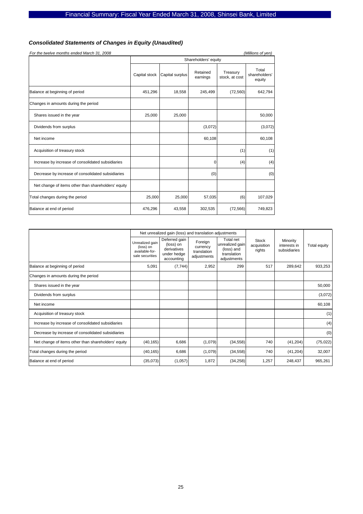# *Consolidated Statements of Changes in Equity (Unaudited)*

| For the twelve months ended March 31, 2008<br>(Millions of yen) |                      |                 |                      |                            |                                  |  |  |
|-----------------------------------------------------------------|----------------------|-----------------|----------------------|----------------------------|----------------------------------|--|--|
|                                                                 | Shareholders' equity |                 |                      |                            |                                  |  |  |
|                                                                 | Capital stock        | Capital surplus | Retained<br>earnings | Treasury<br>stock, at cost | Total<br>shareholders'<br>equity |  |  |
| Balance at beginning of period                                  | 451,296              | 18,558          | 245,499              | (72, 560)                  | 642,794                          |  |  |
| Changes in amounts during the period                            |                      |                 |                      |                            |                                  |  |  |
| Shares issued in the year                                       | 25,000               | 25,000          |                      |                            | 50,000                           |  |  |
| Dividends from surplus                                          |                      |                 | (3,072)              |                            | (3,072)                          |  |  |
| Net income                                                      |                      |                 | 60,108               |                            | 60,108                           |  |  |
| Acquisition of treasury stock                                   |                      |                 |                      | (1)                        | (1)                              |  |  |
| Increase by increase of consolidated subsidiaries               |                      |                 | 0                    | (4)                        | (4)                              |  |  |
| Decrease by increase of consolidated subsidiaries               |                      |                 | (0)                  |                            | (0)                              |  |  |
| Net change of items other than shareholders' equity             |                      |                 |                      |                            |                                  |  |  |
| Total changes during the period                                 | 25,000               | 25,000          | 57,035               | (6)                        | 107,029                          |  |  |
| Balance at end of period                                        | 476,296              | 43,558          | 302,535              | (72, 566)                  | 749,823                          |  |  |

|                                                     |                                                                   | Net unrealized gain (loss) and translation adjustments                 |                                                   |                                                                          |                                       |                                          |              |
|-----------------------------------------------------|-------------------------------------------------------------------|------------------------------------------------------------------------|---------------------------------------------------|--------------------------------------------------------------------------|---------------------------------------|------------------------------------------|--------------|
|                                                     | Unrealized gain<br>(loss) on<br>available-for-<br>sale securities | Deferred gain<br>(loss) on<br>derivatives<br>under hedge<br>accounting | Foreign<br>currency<br>translation<br>adjustments | Total net<br>unrealized gain<br>(loss) and<br>translation<br>adjustments | <b>Stock</b><br>acquisition<br>rights | Minority<br>interests in<br>subsidiaries | Total equity |
| Balance at beginning of period                      | 5,091                                                             | (7, 744)                                                               | 2,952                                             | 299                                                                      | 517                                   | 289,642                                  | 933,253      |
| Changes in amounts during the period                |                                                                   |                                                                        |                                                   |                                                                          |                                       |                                          |              |
| Shares issued in the year                           |                                                                   |                                                                        |                                                   |                                                                          |                                       |                                          | 50,000       |
| Dividends from surplus                              |                                                                   |                                                                        |                                                   |                                                                          |                                       |                                          | (3,072)      |
| Net income                                          |                                                                   |                                                                        |                                                   |                                                                          |                                       |                                          | 60,108       |
| Acquisition of treasury stock                       |                                                                   |                                                                        |                                                   |                                                                          |                                       |                                          | (1)          |
| Increase by increase of consolidated subsidiaries   |                                                                   |                                                                        |                                                   |                                                                          |                                       |                                          | (4)          |
| Decrease by increase of consolidated subsidiaries   |                                                                   |                                                                        |                                                   |                                                                          |                                       |                                          | (0)          |
| Net change of items other than shareholders' equity | (40, 165)                                                         | 6,686                                                                  | (1,079)                                           | (34, 558)                                                                | 740                                   | (41, 204)                                | (75, 022)    |
| Total changes during the period                     | (40, 165)                                                         | 6,686                                                                  | (1,079)                                           | (34, 558)                                                                | 740                                   | (41, 204)                                | 32,007       |
| Balance at end of period                            | (35,073)                                                          | (1,057)                                                                | 1,872                                             | (34, 258)                                                                | 1,257                                 | 248,437                                  | 965,261      |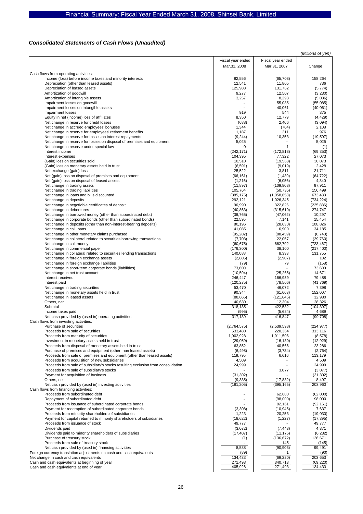# *Consolidated Statements of Cash Flows (Unaudited)*

|                                                                                  |                          |                   | (Millions of yen)  |
|----------------------------------------------------------------------------------|--------------------------|-------------------|--------------------|
|                                                                                  | Fiscal year ended        | Fiscal year ended |                    |
|                                                                                  |                          |                   |                    |
|                                                                                  | Mar.31, 2008             | Mar.31, 2007      | Change             |
| Cash flows from operating activities:                                            |                          |                   |                    |
| Income (loss) before income taxes and minority interests                         | 92,556                   | (65, 708)         | 158,264            |
| Depreciation (other than leased assets)                                          | 12,541                   | 11,805            | 736                |
| Depreciation of leased assets                                                    | 125,988                  | 131,762           | (5, 774)           |
| Amortization of goodwill                                                         | 9,277                    | 12,507            | (3,230)            |
| Amortization of intangible assets                                                | 3,257                    | 8,293             | (5,036)            |
| Impairment losses on goodwill                                                    |                          | 55,085            | (55,085)           |
| Impairment losses on intangible assets                                           |                          | 40,061            | (40,061)           |
| Impairment losses                                                                | 919                      | 544               | 375                |
| Equity in net (income) loss of affiliates                                        | 8,350                    | 12,779            | (4, 429)           |
|                                                                                  |                          |                   |                    |
| Net change in reserve for credit losses                                          | (688)                    | 2,406             | (3,094)            |
| Net change in accrued employees' bonuses                                         | 1,344                    | (764)             | 2,108              |
| Net change in reserve for employees' retirement benefits                         | 1,187                    | 211               | 976                |
| Net change in reserve for losses on interest repayments                          | (9, 244)                 | 10,353            | (19, 597)          |
| Net change in reserve for losses on disposal of premises and equipment           | 5,025                    |                   | 5,025              |
| Net change in reserve under special law                                          | 0                        | $\overline{1}$    | (1)                |
| Interest income                                                                  | (242, 171)               | (172, 818)        | (69, 353)          |
| Interest expenses                                                                | 104,395                  | 77,322            | 27,073             |
| (Gain) loss on securities sold                                                   | 10,510                   | (19, 563)         | 30,073             |
| (Gain) loss on monetary assets held in trust                                     | (6, 591)                 | (9,019)           | 2,428              |
| Net exchange (gain) loss                                                         | 25,522                   | 3,811             | 21,711             |
| Net (gain) loss on disposal of premises and equipment                            | (66, 161)                | (1,439)           | (64, 722)          |
| Net (gain) loss on disposal of leased assets                                     | (1,216)                  | (6,056)           | 4,840              |
| Net change in trading assets                                                     | (11, 897)                | (109, 808)        | 97,911             |
| Net change in trading liabilities                                                | 105,764                  | (50, 735)         | 156,499            |
| Net change in loans and bills discounted                                         | (385, 175)               | (1,058,658)       | 673,483            |
| Net change in deposits                                                           | 292,121                  | 1,026,345         | (734, 224)         |
| Net change in negotiable certificates of deposit                                 | 96,990                   | 322,826           | (225, 836)         |
| Net change in debentures                                                         | (40, 863)                | (315, 610)        | 274,747            |
| Net change in borrowed money (other than subordinated debt)                      | (36, 765)                | (47,062)          | 10,297             |
| Net change in corporate bonds (other than subordinated bonds)                    | 22,595                   | 7,141             | 15,454             |
|                                                                                  |                          |                   |                    |
| Net change in deposits (other than non-interest-bearing deposits)                | 80,196                   | (28, 630)         | 108,826            |
| Net change in call loans                                                         | 41,085                   | 6,900             | 34,185             |
| Net change in other monetary claims purchased                                    | (95, 202)                | (88, 459)         | (6, 743)           |
| Net change in collateral related to securities borrowing transactions            | (7,703)                  | 22,057            | (29, 760)          |
| Net change in call money                                                         | (60, 675)                | 662,792           | (723, 467)         |
| Net change in commercial paper                                                   | (179, 300)               | 38,100            | (217, 400)         |
| Net change in collateral related to securities lending transactions              | 140,088                  | 8,333             | 131,755            |
| Net change in foreign exchange assets                                            | (2,805)                  | (2,907)           | 102                |
| Net change in foreign exchange liabilities                                       | (79)                     | 79                | (158)              |
| Net change in short-term corporate bonds (liabilities)                           | 73,600                   |                   | 73,600             |
| Net change in net trust account                                                  | (10, 594)                | (25, 265)         | 14,671             |
| Interest received                                                                | 246,447                  | 166,959           | 79,488             |
| Interest paid                                                                    | (120, 275)               | (78, 506)         | (41, 769)          |
| Net change in trading securities                                                 | 53,470                   | 46,072            | 7,398              |
| Net change in monetary assets held in trust                                      | 90,344                   | (61, 663)         | 152,007            |
| Net change in leased assets                                                      | (88, 665)                | (121, 645)        | 32,980             |
| Others, net                                                                      | 40,630                   | 12,304            | 28,326             |
| Subtotal                                                                         | 318,135                  | 422.532           | (104, 397)         |
| Income taxes paid                                                                | (995)                    | (5,684)           |                    |
|                                                                                  |                          |                   | 4,689<br>(99, 708) |
| Net cash provided by (used in) operating activities                              | 317,139                  | 416,847           |                    |
| Cash flows from investing activities:                                            |                          |                   |                    |
| Purchase of securities                                                           | (2,764,575)              | (2,539,598)       | (224, 977)         |
| Proceeds from sale of securities                                                 | 533,480                  | 220,364           | 313,116            |
| Proceeds from maturity of securities                                             | 1,902,928                | 1,911,506         | (8, 578)           |
| Investment in monetary assets held in trust                                      | (29, 059)                | (16, 130)         | (12, 929)          |
| Proceeds from disposal of monetary assets held in trust                          | 63,852                   | 40,566            | 23,286             |
| Purchase of premises and equipment (other than leased assets)                    | (6, 498)                 | (3,734)           | (2,764)            |
| Proceeds from sale of premises and equipment (other than leased assets)          | 119,795                  | 6,616             | 113,179            |
| Proceeds from acquisition of new subsidiaries                                    | 4,509                    |                   | 4,509              |
| Proceeds from sale of subsidiary's stocks resulting exclusion from consolidation | 24,999                   |                   | 24,999             |
| Proceeds from sale of subsidiary's stocks                                        |                          | 3,077             | (3,077)            |
| Payment for acquisition of business                                              | (31, 302)                |                   | (31, 302)          |
| Others, net                                                                      | (9, 335)                 | (17, 832)         | 8,497              |
| Net cash provided by (used in) investing activities                              | (191, 205)               | (395, 165)        | 203,960            |
| Cash flows from financing activities:                                            |                          |                   |                    |
| Proceeds from subordinated debt                                                  |                          | 62,000            | (62,000)           |
| Repayment of subordinated debt                                                   | $\overline{\phantom{a}}$ | (98,000)          | 98,000             |
| Proceeds from issuance of subordinated corporate bonds                           |                          | 92,161            | (92, 161)          |
| Payment for redemption of subordinated corporate bonds                           | (3,308)                  | (10, 945)         | 7,637              |
| Proceeds from minority shareholders of subsidiaries                              | 1,223                    | 20,253            | (19,030)           |
| Payment for capital returned to minority shareholders of subsidiaries            | (18, 622)                | (1,227)           | (17, 395)          |
| Proceeds from issuance of stock                                                  | 49,777                   |                   | 49,777             |
|                                                                                  |                          |                   |                    |
| Dividends paid                                                                   | (3,072)                  | (7, 443)          | 4,371              |
| Dividends paid to minority shareholders of subsidiaries                          | (17, 407)                | (11, 175)         | (6, 232)           |
| Purchase of treasury stock                                                       | (1)                      | (136, 672)        | 136,671            |
| Proceeds from sale of treasury stock                                             |                          | 145               | (145)              |
| Net cash provided by (used in) financing activities                              | 8,588                    | (90, 903)         | 99,491             |
| Foreign currency translation adjustments on cash and cash equivalents            | (89)                     |                   | (90)               |
| Net change in cash and cash equivalents                                          | 134,433                  | (69, 220)         | 203,653            |
| Cash and cash equivalents at beginning of year                                   | 271,493                  | 340,713           | (69, 220)          |
| Cash and cash equivalents at end of year                                         | 405,926                  | 271,493           | 134,433            |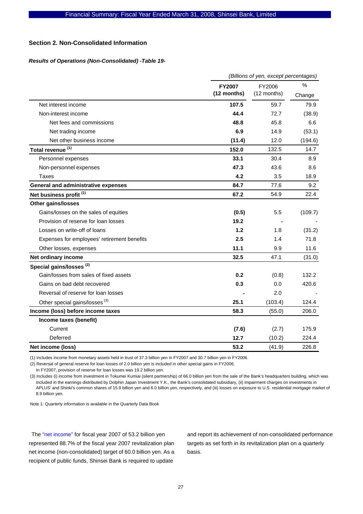#### **Section 2. Non-Consolidated Information**

#### *Results of Operations (Non-Consolidated) -Table 19-*

|                                             | (Billions of yen, except percentages) |                       |             |  |  |
|---------------------------------------------|---------------------------------------|-----------------------|-------------|--|--|
|                                             | <b>FY2007</b><br>(12 months)          | FY2006<br>(12 months) | %<br>Change |  |  |
| Net interest income                         | 107.5                                 | 59.7                  | 79.9        |  |  |
| Non-interest income                         | 44.4                                  | 72.7                  | (38.9)      |  |  |
| Net fees and commissions                    | 48.8                                  | 45.8                  | 6.6         |  |  |
| Net trading income                          | 6.9                                   | 14.9                  | (53.1)      |  |  |
| Net other business income                   | (11.4)                                | 12.0                  | (194.6)     |  |  |
| Total revenue <sup>(1)</sup>                | 152.0                                 | 132.5                 | 14.7        |  |  |
| Personnel expenses                          | 33.1                                  | 30.4                  | 8.9         |  |  |
| Non-personnel expenses                      | 47.3                                  | 43.6                  | 8.6         |  |  |
| Taxes                                       | 4.2                                   | 3.5                   | 18.9        |  |  |
| <b>General and administrative expenses</b>  | 84.7                                  | 77.6                  | 9.2         |  |  |
| Net business profit <sup>(1)</sup>          | 67.2                                  | 54.9                  | 22.4        |  |  |
| <b>Other gains/losses</b>                   |                                       |                       |             |  |  |
| Gains/losses on the sales of equities       | (0.5)                                 | 5.5                   | (109.7)     |  |  |
| Provision of reserve for loan losses        | 19.2                                  |                       |             |  |  |
| Losses on write-off of loans                | 1.2                                   | 1.8                   | (31.2)      |  |  |
| Expenses for employees' retirement benefits | 2.5                                   | 1.4                   | 71.8        |  |  |
| Other losses, expenses                      | 11.1                                  | 9.9                   | 11.6        |  |  |
| Net ordinary income                         | 32.5                                  | 47.1                  | (31.0)      |  |  |
| Special gains/losses <sup>(2)</sup>         |                                       |                       |             |  |  |
| Gain/losses from sales of fixed assets      | 0.2                                   | (0.8)                 | 132.2       |  |  |
| Gains on bad debt recovered                 | 0.3                                   | 0.0                   | 420.6       |  |  |
| Reversal of reserve for loan losses         |                                       | 2.0                   |             |  |  |
| Other special gains/losses <sup>(3)</sup>   | 25.1                                  | (103.4)               | 124.4       |  |  |
| Income (loss) before income taxes           | 58.3                                  | (55.0)                | 206.0       |  |  |
| Income taxes (benefit)                      |                                       |                       |             |  |  |
| Current                                     | (7.6)                                 | (2.7)                 | 175.9       |  |  |
| Deferred                                    | 12.7                                  | (10.2)                | 224.4       |  |  |
| Net income (loss)                           | 53.2                                  | (41.9)                | 226.8       |  |  |

(1) Includes income from monetary assets held in trust of 37.3 billion yen in FY2007 and 30.7 billion yen in FY2006.

(2) Reversal of general reserve for loan losses of 2.0 billion yen is included in other special gains in FY2006.

In FY2007, provision of reserve for loan losses was 19.2 billion yen.

(3) Includes (i) income from investment in Tokumei Kumiai (silent partnership) of 66.0 billion yen from the sale of the Bank's headquarters building, which was included in the earnings distributed by Dolphin Japan Investment Y.K., the Bank's consolidated subsidiary, (ii) impairment charges on investments in APLUS' and Shinki's common shares of 15.9 billion yen and 6.0 billion yen, respectively, and (iii) losses on exposure to U.S. residential mortgage market of 8.9 billion yen.

Note 1: Quarterly information is available in the Quarterly Data Book

The "net income" for fiscal year 2007 of 53.2 billion yen represented 88.7% of the fiscal year 2007 revitalization plan net income (non-consolidated) target of 60.0 billion yen. As a recipient of public funds, Shinsei Bank is required to update

and report its achievement of non-consolidated performance targets as set forth in its revitalization plan on a quarterly basis.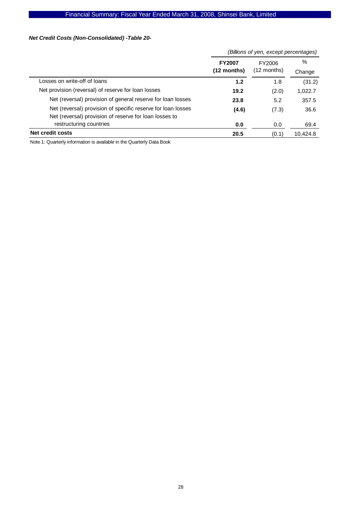# Financial Summary: Fiscal Year Ended March 31, 2008, Shinsei Bank, Limited

# *Net Credit Costs (Non-Consolidated) -Table 20-*

|               | (Billions of yen, except percentages) |          |
|---------------|---------------------------------------|----------|
| <b>FY2007</b> | FY2006                                | $\%$     |
| $(12$ months) | $(12$ months)                         | Change   |
| 1.2           | 1.8                                   | (31.2)   |
| 19.2          | (2.0)                                 | 1,022.7  |
| 23.8          | 5.2                                   | 357.5    |
| (4.6)         | (7.3)                                 | 36.6     |
|               |                                       |          |
| 0.0           | 0.0                                   | 69.4     |
| 20.5          | (0.1)                                 | 10,424.8 |
|               |                                       |          |

Note 1: Quarterly information is available in the Quarterly Data Book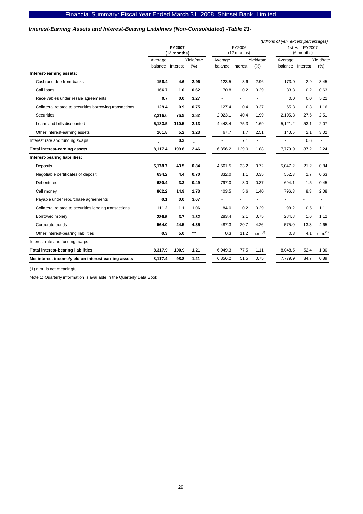### *Interest-Earning Assets and Interest-Bearing Liabilities (Non-Consolidated) -Table 21-*

|                                                         |         |                       |            |         |                       |                     | (Billions of yen, except percentages) |                               |                     |
|---------------------------------------------------------|---------|-----------------------|------------|---------|-----------------------|---------------------|---------------------------------------|-------------------------------|---------------------|
|                                                         |         | FY2007<br>(12 months) |            |         | FY2006<br>(12 months) |                     |                                       | 1st Half FY2007<br>(6 months) |                     |
|                                                         | Average |                       | Yield/rate | Average | Yield/rate            |                     | Average                               |                               | Yield/rate          |
|                                                         | balance | Interest              | $(\%)$     | balance | Interest              | (% )                | balance                               | Interest                      | (% )                |
| Interest-earning assets:                                |         |                       |            |         |                       |                     |                                       |                               |                     |
| Cash and due from banks                                 | 158.4   | 4.6                   | 2.96       | 123.5   | 3.6                   | 2.96                | 173.0                                 | 2.9                           | 3.45                |
| Call Ioans                                              | 166.7   | 1.0                   | 0.62       | 70.8    | 0.2                   | 0.29                | 83.3                                  | 0.2                           | 0.63                |
| Receivables under resale agreements                     | 0.7     | 0.0                   | 3.27       |         |                       |                     | 0.0                                   | 0.0                           | 5.21                |
| Collateral related to securities borrowing transactions | 129.4   | 0.9                   | 0.75       | 127.4   | 0.4                   | 0.37                | 65.8                                  | 0.3                           | 1.16                |
| <b>Securities</b>                                       | 2.316.6 | 76.9                  | 3.32       | 2,023.1 | 40.4                  | 1.99                | 2.195.8                               | 27.6                          | 2.51                |
| Loans and bills discounted                              | 5,183.5 | 110.5                 | 2.13       | 4,443.4 | 75.3                  | 1.69                | 5,121.2                               | 53.1                          | 2.07                |
| Other interest-earning assets                           | 161.8   | 5.2                   | 3.23       | 67.7    | 1.7                   | 2.51                | 140.5                                 | 2.1                           | 3.02                |
| Interest rate and funding swaps                         |         | 0.3                   |            |         | 7.1                   | ä,                  |                                       | 0.6                           | ä,                  |
| <b>Total interest-earning assets</b>                    | 8,117.4 | 199.8                 | 2.46       | 6,856.2 | 129.0                 | 1.88                | 7,779.9                               | 87.2                          | 2.24                |
| Interest-bearing liabilities:                           |         |                       |            |         |                       |                     |                                       |                               |                     |
| <b>Deposits</b>                                         | 5.178.7 | 43.5                  | 0.84       | 4,561.5 | 33.2                  | 0.72                | 5,047.2                               | 21.2                          | 0.84                |
| Negotiable certificates of deposit                      | 634.2   | 4.4                   | 0.70       | 332.0   | 1.1                   | 0.35                | 552.3                                 | 1.7                           | 0.63                |
| <b>Debentures</b>                                       | 680.4   | 3.3                   | 0.49       | 797.0   | 3.0                   | 0.37                | 694.1                                 | 1.5                           | 0.45                |
| Call money                                              | 862.2   | 14.9                  | 1.73       | 403.5   | 5.6                   | 1.40                | 796.3                                 | 8.3                           | 2.08                |
| Payable under repurchase agreements                     | 0.1     | 0.0                   | 3.67       |         |                       |                     |                                       |                               |                     |
| Collateral related to securities lending transactions   | 111.2   | 1.1                   | 1.06       | 84.0    | 0.2                   | 0.29                | 98.2                                  | 0.5                           | 1.11                |
| Borrowed money                                          | 286.5   | 3.7                   | 1.32       | 283.4   | 2.1                   | 0.75                | 284.8                                 | 1.6                           | 1.12                |
| Corporate bonds                                         | 564.0   | 24.5                  | 4.35       | 487.3   | 20.7                  | 4.26                | 575.0                                 | 13.3                          | 4.65                |
| Other interest-bearing liabilities                      | 0.3     | 5.0                   | ***        | 0.3     | 11.2                  | n.m. <sup>(1)</sup> | 0.3                                   | 4.1                           | n.m. <sup>(1)</sup> |
| Interest rate and funding swaps                         | Ĭ.      | $\overline{a}$        | ÷          |         | ä,                    | ä,                  |                                       | ä,                            | ä,                  |
| <b>Total interest-bearing liabilities</b>               | 8,317.9 | 100.9                 | 1.21       | 6,949.3 | 77.5                  | 1.11                | 8,048.5                               | 52.4                          | 1.30                |
| Net interest income/yield on interest-earning assets    | 8,117.4 | 98.8                  | 1.21       | 6,856.2 | 51.5                  | 0.75                | 7,779.9                               | 34.7                          | 0.89                |

(1) n.m. is not meaningful.

Note 1: Quarterly information is available in the Quarterly Data Book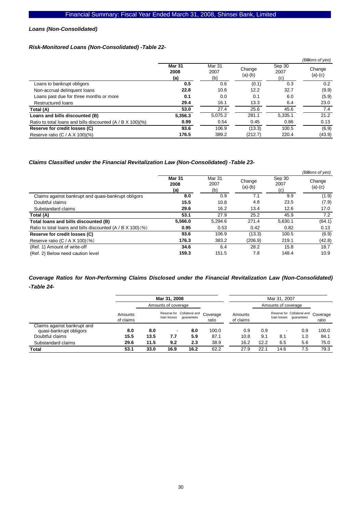#### *Loans (Non-Consolidated)*

### *Risk-Monitored Loans (Non-Consolidated) -Table 22-*

|                                                            |                              |                       |                     |                       | (Billions of yen)   |
|------------------------------------------------------------|------------------------------|-----------------------|---------------------|-----------------------|---------------------|
|                                                            | <b>Mar 31</b><br>2008<br>(a) | Mar 31<br>2007<br>(b) | Change<br>$(a)-(b)$ | Sep 30<br>2007<br>(c) | Change<br>$(a)-(c)$ |
| Loans to bankrupt obligors                                 | 0.5                          | 0.6                   | (0.1)               | 0.3                   | 0.2                 |
| Non-accrual delinguent loans                               | 22.8                         | 10.6                  | 12.2                | 32.7                  | (9.9)               |
| Loans past due for three months or more                    | 0.1                          | 0.0                   | 0.1                 | 6.0                   | (5.9)               |
| Restructured loans                                         | 29.4                         | 16.1                  | 13.3                | 6.4                   | 23.0                |
| Total (A)                                                  | 53.0                         | 27.4                  | 25.6                | 45.6                  | 7.4                 |
| Loans and bills discounted (B)                             | 5,356.3                      | 5,075.2               | 281.1               | 5,335.1               | 21.2                |
| Ratio to total loans and bills discounted (A / B X 100)(%) | 0.99                         | 0.54                  | 0.45                | 0.86                  | 0.13                |
| Reserve for credit losses (C)                              | 93.6                         | 106.9                 | (13.3)              | 100.5                 | (6.9)               |
| Reserve ratio (C / A $X$ 100)(%)                           | 176.5                        | 389.2                 | (212.7)             | 220.4                 | (43.9)              |

#### *Claims Classified under the Financial Revitalization Law (Non-Consolidated) -Table 23-*

|                                                             |                              |                              |                     |                       | (Billions of yen)   |
|-------------------------------------------------------------|------------------------------|------------------------------|---------------------|-----------------------|---------------------|
|                                                             | <b>Mar 31</b><br>2008<br>(a) | <b>Mar 31</b><br>2007<br>(b) | Change<br>$(a)-(b)$ | Sep 30<br>2007<br>(c) | Change<br>$(a)-(c)$ |
| Claims against bankrupt and quasi-bankrupt obligors         | 8.0                          | 0.9                          | 7.1                 | 9.9                   | (1.9)               |
| Doubtful claims                                             | 15.5                         | 10.8                         | 4.8                 | 23.5                  | (7.9)               |
| Substandard claims                                          | 29.6                         | 16.2                         | 13.4                | 12.6                  | 17.0                |
| Total (A)                                                   | 53.1                         | 27.9                         | 25.2                | 45.9                  | 7.2                 |
| Total loans and bills discounted (B)                        | 5.566.0                      | 5,294.6                      | 271.4               | 5,630.1               | (64.1)              |
| Ratio to total loans and bills discounted (A / B X 100) (%) | 0.95                         | 0.53                         | 0.42                | 0.82                  | 0.13                |
| Reserve for credit losses (C)                               | 93.6                         | 106.9                        | (13.3)              | 100.5                 | (6.9)               |
| Reserve ratio $(C / A X 100)(%)$                            | 176.3                        | 383.2                        | (206.9)             | 219.1                 | (42.8)              |
| (Ref. 1) Amount of write-off                                | 34.6                         | 6.4                          | 28.2                | 15.8                  | 18.7                |
| (Ref. 2) Below need caution level                           | 159.3                        | 151.5                        | 7.8                 | 148.4                 | 10.9                |

# *Coverage Ratios for Non-Performing Claims Disclosed under the Financial Revitalization Law (Non-Consolidated) -Table 24-*

|                                                        |                      |                     | Mar 31, 2008             |                                          |                   |                      |      | Mar 31, 2007             |                                          |                   |
|--------------------------------------------------------|----------------------|---------------------|--------------------------|------------------------------------------|-------------------|----------------------|------|--------------------------|------------------------------------------|-------------------|
|                                                        |                      | Amounts of coverage |                          |                                          |                   |                      |      | Amounts of coverage      |                                          |                   |
|                                                        | Amounts<br>of claims |                     | loan losses              | Reserve for Collateral and<br>quarantees | Coverage<br>ratio | Amounts<br>of claims |      | loan losses              | Reserve for Collateral and<br>quarantees | Coverage<br>ratio |
| Claims against bankrupt and<br>quasi-bankrupt obligors | 8.0                  | 8.0                 | $\overline{\phantom{a}}$ | 8.0                                      | 100.0             | 0.9                  | 0.9  | $\overline{\phantom{a}}$ | 0.9                                      | 100.0             |
| Doubtful claims                                        | 15.5                 | 13.5                | 7.7                      | 5.9                                      | 87.1              | 10.8                 | 9.1  | 8.1                      | 1.0                                      | 84.1              |
| Substandard claims                                     | 29.6                 | 11.5                | 9.2                      | 2.3                                      | 38.9              | 16.2                 | 12.2 | 6.5                      | 5.6                                      | 75.0              |
| Total                                                  | 53.1                 | 33.0                | 16.9                     | 16.2                                     | 62.2              | 27.9                 | 22.1 | 14.6                     | 7.5                                      | 79.3              |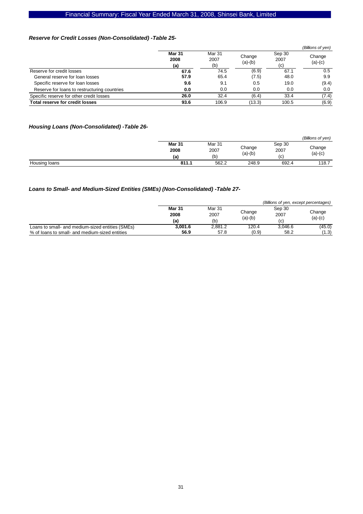# Financial Summary: Fiscal Year Ended March 31, 2008, Shinsei Bank, Limited

### *Reserve for Credit Losses (Non-Consolidated) -Table 25-*

|                                              |                              |                              |                     |                       | (Billions of yen)   |
|----------------------------------------------|------------------------------|------------------------------|---------------------|-----------------------|---------------------|
|                                              | <b>Mar 31</b><br>2008<br>(a) | <b>Mar 31</b><br>2007<br>(b) | Change<br>$(a)-(b)$ | Sep 30<br>2007<br>(c) | Change<br>$(a)-(c)$ |
| Reserve for credit losses                    | 67.6                         | 74.5                         | (6.9)               | 67.1                  | 0.5                 |
| General reserve for loan losses              | 57.9                         | 65.4                         | (7.5)               | 48.0                  | 9.9                 |
| Specific reserve for loan losses             | 9.6                          | 9.1                          | 0.5                 | 19.0                  | (9.4)               |
| Reserve for loans to restructuring countries | 0.0                          | 0.0                          | 0.0                 | 0.0                   | 0.0                 |
| Specific reserve for other credit losses     | 26.0                         | 32.4                         | (6.4)               | 33.4                  | (7.4)               |
| Total reserve for credit losses              | 93.6                         | 106.9                        | (13.3)              | 100.5                 | (6.9)               |

### *Housing Loans (Non-Consolidated) -Table 26-*

|               |        |        |           |        | (Billions of yen) |
|---------------|--------|--------|-----------|--------|-------------------|
|               | Mar 31 | Mar 31 |           | Sep 30 |                   |
|               | 2008   | 2007   | Change    | 2007   | Change            |
|               | (a     | (b)    | $(a)-(b)$ | (c)    | $(a)-(c)$         |
| Housing loans | 811.1  | 562.2  | 248.9     | 692.4  | 118.7             |

# *Loans to Small- and Medium-Sized Entities (SMEs) (Non-Consolidated) -Table 27-*

|                                                  |               |         |           | (Billions of yen, except percentages) |           |
|--------------------------------------------------|---------------|---------|-----------|---------------------------------------|-----------|
|                                                  | <b>Mar 31</b> | Mar 31  |           | Sep 30                                |           |
|                                                  | 2008          | 2007    | Change    | 2007                                  | Change    |
|                                                  | (a)           | (b)     | $(a)-(b)$ | (c)                                   | $(a)-(c)$ |
| Loans to small- and medium-sized entities (SMEs) | 3.001.6       | 2.881.2 | 120.4     | 3.046.6                               | (45.0)    |
| % of loans to small- and medium-sized entities   | 56.9          | 57.8    | (0.9)     | 58.2                                  | (1.3)     |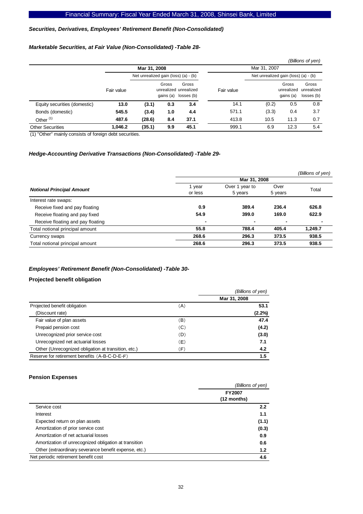#### *Securities, Derivatives, Employees' Retirement Benefit (Non-Consolidated)*

### *Marketable Securities, at Fair Value (Non-Consolidated) -Table 28-*

|                              |            |                                      |       |                                                        |            |                                      |                                  | (Billions of yen)                 |
|------------------------------|------------|--------------------------------------|-------|--------------------------------------------------------|------------|--------------------------------------|----------------------------------|-----------------------------------|
|                              |            | Mar 31, 2008                         |       |                                                        |            | Mar 31, 2007                         |                                  |                                   |
|                              |            | Net unrealized gain (loss) (a) - (b) |       |                                                        |            | Net unrealized gain (loss) (a) - (b) |                                  |                                   |
|                              | Fair value |                                      | Gross | Gross<br>unrealized unrealized<br>gains (a) losses (b) | Fair value |                                      | Gross<br>unrealized<br>gains (a) | Gross<br>unrealized<br>losses (b) |
| Equity securities (domestic) | 13.0       | (3.1)                                | 0.3   | 3.4                                                    | 14.1       | (0.2)                                | 0.5                              | 0.8                               |
| Bonds (domestic)             | 545.5      | (3.4)                                | 1.0   | 4.4                                                    | 571.1      | (3.3)                                | 0.4                              | 3.7                               |
| Other $(1)$                  | 487.6      | (28.6)                               | 8.4   | 37.1                                                   | 413.8      | 10.5                                 | 11.3                             | 0.7                               |
| <b>Other Securities</b>      | 1.046.2    | (35.1)                               | 9.9   | 45.1                                                   | 999.1      | 6.9                                  | 12.3                             | 5.4                               |

(1) "Other" mainly consists of foreign debt securities.

#### *Hedge-Accounting Derivative Transactions (Non-Consolidated) -Table 29-*

|                                   |                   |                           |                 | (Billions of yen) |
|-----------------------------------|-------------------|---------------------------|-----------------|-------------------|
|                                   |                   | Mar 31, 2008              |                 |                   |
| <b>Notional Principal Amount</b>  | 1 year<br>or less | Over 1 year to<br>5 years | Over<br>5 years | Total             |
| Interest rate swaps:              |                   |                           |                 |                   |
| Receive fixed and pay floating    | 0.9               | 389.4                     | 236.4           | 626.8             |
| Receive floating and pay fixed    | 54.9              | 399.0                     | 169.0           | 622.9             |
| Receive floating and pay floating | $\blacksquare$    | $\blacksquare$            | $\blacksquare$  |                   |
| Total notional principal amount   | 55.8              | 788.4                     | 405.4           | 1,249.7           |
| Currency swaps                    | 268.6             | 296.3                     | 373.5           | 938.5             |
| Total notional principal amount   | 268.6             | 296.3                     | 373.5           | 938.5             |

#### *Employees' Retirement Benefit (Non-Consolidated) -Table 30-*

### **Projected benefit obligation**

|                                                     |     | (Billions of yen) |
|-----------------------------------------------------|-----|-------------------|
|                                                     |     | Mar 31, 2008      |
| Projected benefit obligation                        | (A) | 53.1              |
| (Discount rate)                                     |     | $(2.2\%)$         |
| Fair value of plan assets                           | (B) | 47.4              |
| Prepaid pension cost                                | (C) | (4.2)             |
| Unrecognized prior service cost                     | (D) | (3.0)             |
| Unrecognized net actuarial losses                   | E)  | 7.1               |
| Other (Unrecognized obligation at transition, etc.) | (F) | 4.2               |
| Reserve for retirement benefits (A-B-C-D-E-F)       |     | 1.5               |

#### **Pension Expenses**

| (Billions of yen)            |
|------------------------------|
| <b>FY2007</b><br>(12 months) |
| 2.2                          |
| 1.1                          |
| (1.1)                        |
| (0.3)                        |
| 0.9                          |
| 0.6                          |
| 1.2                          |
| 4.6                          |
|                              |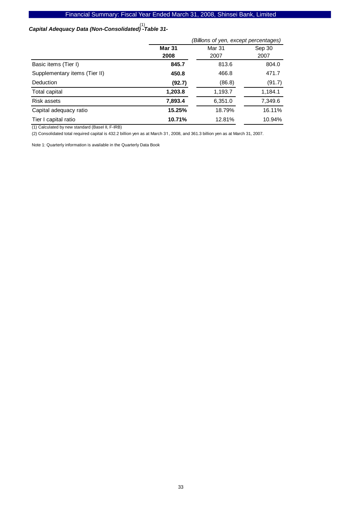# *Capital Adequacy Data (Non-Consolidated) -Table 31-*  (1)

| (Billions of yen, except percentages) |         |         |  |  |
|---------------------------------------|---------|---------|--|--|
| <b>Mar 31</b>                         | Mar 31  | Sep 30  |  |  |
| 2008                                  | 2007    | 2007    |  |  |
| 845.7                                 | 813.6   | 804.0   |  |  |
| 450.8                                 | 466.8   | 471.7   |  |  |
| (92.7)                                | (86.8)  | (91.7)  |  |  |
| 1,203.8                               | 1,193.7 | 1,184.1 |  |  |
| 7,893.4                               | 6,351.0 | 7,349.6 |  |  |
| 15.25%                                | 18.79%  | 16.11%  |  |  |
| 10.71%                                | 12.81%  | 10.94%  |  |  |
|                                       |         |         |  |  |

(1) Calculated by new standard (BaseI II, F-IRB)

(2) Consolidated total required capital is 432.2 billion yen as at March 31, 2008, and 361.3 billion yen as at March 31, 2007.

Note 1: Quarterly information is available in the Quarterly Data Book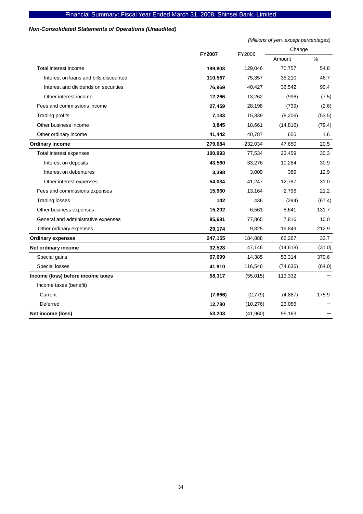# *Non-Consolidated Statements of Operations (Unaudited)*

|                                        |               |           | (Millions of yen, except percentages) |        |  |
|----------------------------------------|---------------|-----------|---------------------------------------|--------|--|
|                                        | <b>FY2007</b> | FY2006    | Change                                |        |  |
|                                        |               |           | Amount                                | $\%$   |  |
| Total interest income                  | 199,803       | 129,046   | 70,757                                | 54.8   |  |
| Interest on loans and bills discounted | 110,567       | 75,357    | 35,210                                | 46.7   |  |
| Interest and dividends on securities   | 76,969        | 40,427    | 36,542                                | 90.4   |  |
| Other interest income                  | 12,266        | 13,262    | (996)                                 | (7.5)  |  |
| Fees and commissions income            | 27,459        | 28,198    | (739)                                 | (2.6)  |  |
| <b>Trading profits</b>                 | 7,133         | 15,339    | (8, 206)                              | (53.5) |  |
| Other business income                  | 3,845         | 18,661    | (14, 816)                             | (79.4) |  |
| Other ordinary income                  | 41,442        | 40,787    | 655                                   | 1.6    |  |
| <b>Ordinary income</b>                 | 279,684       | 232,034   | 47,650                                | 20.5   |  |
| Total interest expenses                | 100,993       | 77,534    | 23,459                                | 30.3   |  |
| Interest on deposits                   | 43,560        | 33,276    | 10,284                                | 30.9   |  |
| Interest on debentures                 | 3,398         | 3,009     | 389                                   | 12.9   |  |
| Other interest expenses                | 54,034        | 41,247    | 12,787                                | 31.0   |  |
| Fees and commissions expenses          | 15,960        | 13,164    | 2,796                                 | 21.2   |  |
| <b>Trading losses</b>                  | 142           | 436       | (294)                                 | (67.4) |  |
| Other business expenses                | 15,202        | 6,561     | 8,641                                 | 131.7  |  |
| General and administrative expenses    | 85,681        | 77,865    | 7,816                                 | 10.0   |  |
| Other ordinary expenses                | 29,174        | 9,325     | 19,849                                | 212.9  |  |
| <b>Ordinary expenses</b>               | 247,155       | 184,888   | 62,267                                | 33.7   |  |
| Net ordinary income                    | 32,528        | 47,146    | (14, 618)                             | (31.0) |  |
| Special gains                          | 67,699        | 14,385    | 53,314                                | 370.6  |  |
| Special losses                         | 41,910        | 116,546   | (74, 636)                             | (64.0) |  |
| Income (loss) before income taxes      | 58,317        | (55,015)  | 113,332                               |        |  |
| Income taxes (benefit)                 |               |           |                                       |        |  |
| Current                                | (7,666)       | (2,779)   | (4,887)                               | 175.9  |  |
| Deferred                               | 12,780        | (10, 276) | 23,056                                |        |  |
| Net income (loss)                      | 53,203        | (41,960)  | 95,163                                |        |  |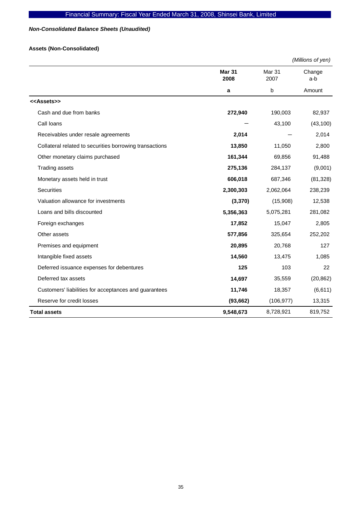# *Non-Consolidated Balance Sheets (Unaudited)*

# **Assets (Non-Consolidated)**

|                                                         |                |                           | (Millions of yen) |
|---------------------------------------------------------|----------------|---------------------------|-------------------|
|                                                         | Mar 31<br>2008 | Mar <sub>31</sub><br>2007 | Change<br>a-b     |
|                                                         | a              | b                         | Amount            |
| < <assets>&gt;</assets>                                 |                |                           |                   |
| Cash and due from banks                                 | 272,940        | 190,003                   | 82,937            |
| Call loans                                              |                | 43,100                    | (43, 100)         |
| Receivables under resale agreements                     | 2,014          |                           | 2,014             |
| Collateral related to securities borrowing transactions | 13,850         | 11,050                    | 2,800             |
| Other monetary claims purchased                         | 161,344        | 69,856                    | 91,488            |
| <b>Trading assets</b>                                   | 275,136        | 284,137                   | (9,001)           |
| Monetary assets held in trust                           | 606,018        | 687,346                   | (81, 328)         |
| <b>Securities</b>                                       | 2,300,303      | 2,062,064                 | 238,239           |
| Valuation allowance for investments                     | (3, 370)       | (15,908)                  | 12,538            |
| Loans and bills discounted                              | 5,356,363      | 5,075,281                 | 281,082           |
| Foreign exchanges                                       | 17,852         | 15,047                    | 2,805             |
| Other assets                                            | 577,856        | 325,654                   | 252,202           |
| Premises and equipment                                  | 20,895         | 20,768                    | 127               |
| Intangible fixed assets                                 | 14,560         | 13,475                    | 1,085             |
| Deferred issuance expenses for debentures               | 125            | 103                       | 22                |
| Deferred tax assets                                     | 14,697         | 35,559                    | (20, 862)         |
| Customers' liabilities for acceptances and guarantees   | 11,746         | 18,357                    | (6,611)           |
| Reserve for credit losses                               | (93, 662)      | (106, 977)                | 13,315            |
| <b>Total assets</b>                                     | 9,548,673      | 8,728,921                 | 819,752           |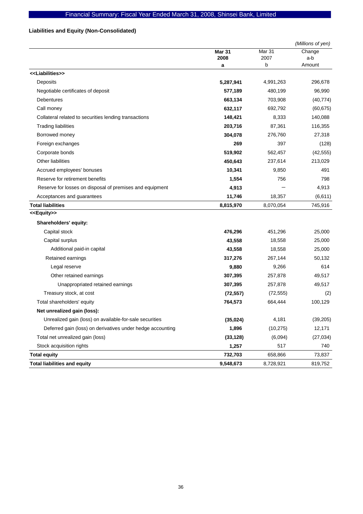# **Liabilities and Equity (Non-Consolidated)**

|                                                            |               |           | (Millions of yen) |
|------------------------------------------------------------|---------------|-----------|-------------------|
|                                                            | <b>Mar 31</b> | Mar 31    | Change            |
|                                                            | 2008          | 2007      | a-b               |
| < <liabilities>&gt;</liabilities>                          | a             | b         | Amount            |
|                                                            |               |           |                   |
| Deposits                                                   | 5,287,941     | 4,991,263 | 296,678           |
| Negotiable certificates of deposit                         | 577,189       | 480,199   | 96,990            |
| <b>Debentures</b>                                          | 663,134       | 703,908   | (40, 774)         |
| Call money                                                 | 632,117       | 692,792   | (60, 675)         |
| Collateral related to securities lending transactions      | 148,421       | 8,333     | 140,088           |
| <b>Trading liabilities</b>                                 | 203,716       | 87,361    | 116,355           |
| Borrowed money                                             | 304,078       | 276,760   | 27,318            |
| Foreign exchanges                                          | 269           | 397       | (128)             |
| Corporate bonds                                            | 519,902       | 562,457   | (42, 555)         |
| Other liabilities                                          | 450,643       | 237,614   | 213,029           |
| Accrued employees' bonuses                                 | 10,341        | 9,850     | 491               |
| Reserve for retirement benefits                            | 1,554         | 756       | 798               |
| Reserve for losses on disposal of premises and equipment   | 4,913         |           | 4,913             |
| Acceptances and guarantees                                 | 11,746        | 18,357    | (6,611)           |
| <b>Total liabilities</b>                                   | 8,815,970     | 8,070,054 | 745,916           |
| < <equity>&gt;</equity>                                    |               |           |                   |
| Shareholders' equity:                                      |               |           |                   |
| Capital stock                                              | 476,296       | 451,296   | 25,000            |
| Capital surplus                                            | 43,558        | 18,558    | 25,000            |
| Additional paid-in capital                                 | 43,558        | 18,558    | 25,000            |
| Retained earnings                                          | 317,276       | 267,144   | 50,132            |
| Legal reserve                                              | 9,880         | 9,266     | 614               |
| Other retained earnings                                    | 307,395       | 257,878   | 49,517            |
| Unappropriated retained earnings                           | 307,395       | 257,878   | 49,517            |
| Treasury stock, at cost                                    | (72, 557)     | (72, 555) | (2)               |
| Total shareholders' equity                                 | 764,573       | 664,444   | 100,129           |
| Net unrealized gain (loss):                                |               |           |                   |
| Unrealized gain (loss) on available-for-sale securities    | (35, 024)     | 4,181     | (39, 205)         |
| Deferred gain (loss) on derivatives under hedge accounting | 1,896         | (10, 275) | 12,171            |
| Total net unrealized gain (loss)                           | (33, 128)     | (6,094)   | (27, 034)         |
| Stock acquisition rights                                   | 1,257         | 517       | 740               |
| <b>Total equity</b>                                        | 732,703       | 658,866   | 73,837            |
| <b>Total liabilities and equity</b>                        | 9,548,673     | 8,728,921 | 819,752           |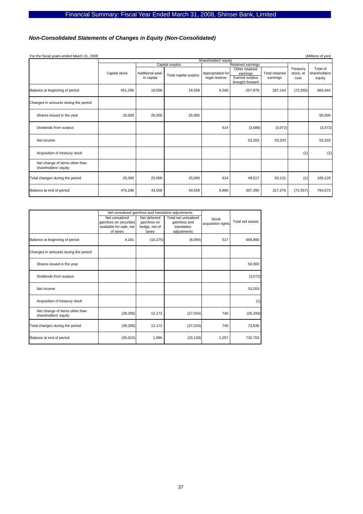# *Non-Consolidated Statements of Changes in Equity (Non-Consolidated)*

| For the fiscal years ended March 31, 2008              |               |                                |                       |                                   |                                                                 |                                   |                               | (Millions of yen)                   |
|--------------------------------------------------------|---------------|--------------------------------|-----------------------|-----------------------------------|-----------------------------------------------------------------|-----------------------------------|-------------------------------|-------------------------------------|
|                                                        |               |                                |                       | Shareholders' equity              |                                                                 |                                   |                               |                                     |
|                                                        |               |                                | Capital surplus       |                                   | Retained earnings                                               |                                   |                               |                                     |
|                                                        | Capital stock | Additional paid-<br>in capital | Total capital surplus | Appropriated for<br>regal reserve | Other retained<br>earnings<br>Earned surplus<br>brought forward | <b>Total retained</b><br>earnings | Treasury<br>stock, at<br>cost | Total of<br>shareholders'<br>equity |
| Balance at beginning of period                         | 451,296       | 18,558                         | 18,558                | 9,266                             | 257,878                                                         | 267,144                           | (72, 555)                     | 664,444                             |
| Changes in amounts during the period                   |               |                                |                       |                                   |                                                                 |                                   |                               |                                     |
| Shares issued in the year                              | 25,000        | 25,000                         | 25,000                |                                   |                                                                 |                                   |                               | 50,000                              |
| Dividends from surplus                                 |               |                                |                       | 614                               | (3,686)                                                         | (3,072)                           |                               | (3,072)                             |
| Net income                                             |               |                                |                       |                                   | 53,203                                                          | 53,203                            |                               | 53,203                              |
| Acquisition of treasury stock                          |               |                                |                       |                                   |                                                                 |                                   | (1)                           | (1)                                 |
| Net change of items other than<br>shareholders' equity |               |                                |                       |                                   |                                                                 |                                   |                               |                                     |
| Total changes during the period                        | 25,000        | 25,000                         | 25,000                | 614                               | 49,517                                                          | 50,131                            | (1)                           | 100,129                             |
| Balance at end of period                               | 476,296       | 43,558                         | 43,558                | 9,880                             | 307,395                                                         | 317,276                           | (72, 557)                     | 764,573                             |

|                                                        | Net unrealized gain/loss and translation adjustments                             |                                                        |                                                                     |                             |                  |
|--------------------------------------------------------|----------------------------------------------------------------------------------|--------------------------------------------------------|---------------------------------------------------------------------|-----------------------------|------------------|
|                                                        | Net unrealized<br>gain/loss on securities<br>available-for-sale, net<br>of taxes | Net deferred<br>gain/loss on<br>hedge, net of<br>taxes | Total net unrealized<br>gain/loss and<br>translation<br>adjustments | Stock<br>acquisition rights | Total net assets |
| Balance at beginning of period                         | 4,181                                                                            | (10, 275)                                              | (6,094)                                                             | 517                         | 658,866          |
| Changes in amounts during the period                   |                                                                                  |                                                        |                                                                     |                             |                  |
| Shares issued in the year                              |                                                                                  |                                                        |                                                                     |                             | 50,000           |
| Dividends from surplus                                 |                                                                                  |                                                        |                                                                     |                             | (3,072)          |
| Net income                                             |                                                                                  |                                                        |                                                                     |                             | 53,203           |
| Acquisition of treasury stock                          |                                                                                  |                                                        |                                                                     |                             | (1)              |
| Net change of items other than<br>shareholders' equity | (39, 206)                                                                        | 12,172                                                 | (27, 034)                                                           | 740                         | (26, 293)        |
| Total changes during the period                        | (39, 206)                                                                        | 12,172                                                 | (27, 034)                                                           | 740                         | 73,836           |
| Balance at end of period                               | (35,024)                                                                         | 1,896                                                  | (33, 128)                                                           | 1,257                       | 732,703          |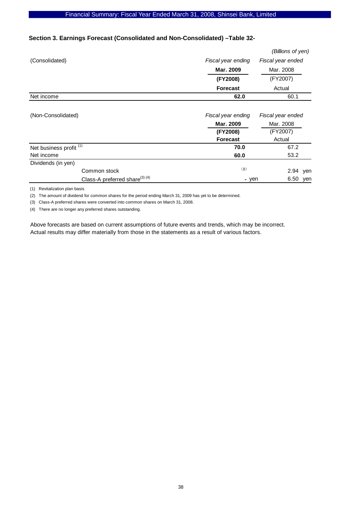### Financial Summary: Fiscal Year Ended March 31, 2008, Shinsei Bank, Limited

# **Section 3. Earnings Forecast (Consolidated and Non-Consolidated) –Table 32-**

|                |                    | (Billions of yen) |
|----------------|--------------------|-------------------|
| (Consolidated) | Fiscal year ending | Fiscal year ended |
|                | Mar. 2009          | Mar. 2008         |
|                | (FY2008)           | (FY2007)          |
|                | <b>Forecast</b>    | Actual            |
| Net income     | 62.0               | 60.1              |

| (Non-Consolidated)                         | Fiscal year ending<br>Mar. 2009<br>(FY2008)<br><b>Forecast</b> | Fiscal year ended<br>Mar. 2008<br>(FY2007)<br>Actual |
|--------------------------------------------|----------------------------------------------------------------|------------------------------------------------------|
| Net business profit <sup>(1)</sup>         | 70.0                                                           | 67.2                                                 |
| Net income                                 | 60.0                                                           | 53.2                                                 |
| Dividends (in yen)                         |                                                                |                                                      |
| Common stock                               | (2)                                                            | 2.94<br>ven                                          |
| Class-A preferred share <sup>(3) (4)</sup> | - yen                                                          | 6.50<br>yen                                          |

(1) Revitalization plan basis

(2) The amount of dividend for common shares for the period ending March 31, 2009 has yet to be determined.

(3) Class-A preferred shares were converted into common shares on March 31, 2008.

(4) There are no longer any preferred shares outstanding.

Above forecasts are based on current assumptions of future events and trends, which may be incorrect. Actual results may differ materially from those in the statements as a result of various factors.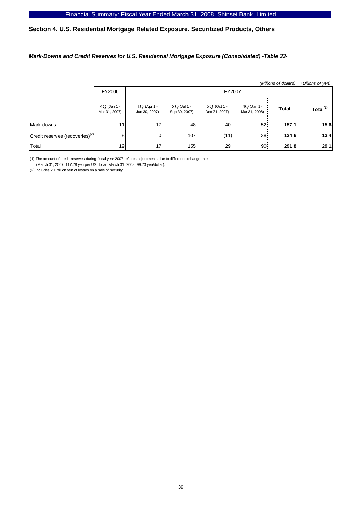# **Section 4. U.S. Residential Mortgage Related Exposure, Securitized Products, Others**

#### *Mark-Downs and Credit Reserves for U.S. Residential Mortgage Exposure (Consolidated) -Table 33-*

|                                             |                                |                                |                              |                              |                              | (Millions of dollars) | (Billions of yen)    |
|---------------------------------------------|--------------------------------|--------------------------------|------------------------------|------------------------------|------------------------------|-----------------------|----------------------|
|                                             | FY2006                         |                                | FY2007                       |                              |                              |                       |                      |
|                                             | $4Q$ (Jan 1 -<br>Mar 31, 2007) | $1Q$ (Apr 1 -<br>Jun 30, 2007) | 2Q (Jul 1 -<br>Sep 30, 2007) | 3Q (Oct 1 -<br>Dec 31, 2007) | 4Q (Jan 1 -<br>Mar 31, 2008) | <b>Total</b>          | Total <sup>(1)</sup> |
| Mark-downs                                  | 11                             | 17                             | 48                           | 40                           | 52 <sup>1</sup>              | 157.1                 | 15.6                 |
| Credit reserves (recoveries) <sup>(2)</sup> | 81                             | $\mathbf 0$                    | 107                          | (11)                         | 38.                          | 134.6                 | 13.4                 |
| Total                                       | 19 <sup>l</sup>                | 17                             | 155                          | 29                           | 90                           | 291.8                 | 29.1                 |

(1) The amount of credit reserves during fiscal year 2007 reflects adjustments due to different exchange rates

(March 31, 2007: 117.78 yen per US dollar, March 31, 2008: 99.73 yen/dollar).

(2) Includes 2.1 billion yen of losses on a sale of security.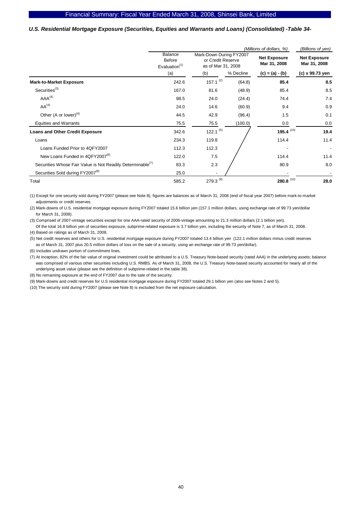#### *U.S. Residential Mortgage Exposure (Securities, Equities and Warrants and Loans) (Consolidated) -Table 34-*

|                                                                        |                                       |                                                                    |           | (Millions of dollars, %)            | (Billions of yen)                   |  |
|------------------------------------------------------------------------|---------------------------------------|--------------------------------------------------------------------|-----------|-------------------------------------|-------------------------------------|--|
|                                                                        | Balance<br>Before<br>Evaluation $(1)$ | Mark-Down During FY2007<br>or Credit Reserve<br>as of Mar 31, 2008 |           | <b>Net Exposure</b><br>Mar 31, 2008 | <b>Net Exposure</b><br>Mar 31, 2008 |  |
|                                                                        | (a)                                   | (b)                                                                | % Decline | $(c) = (a) - (b)$                   | (c) x 99.73 yen                     |  |
| <b>Mark-to-Market Exposure</b>                                         | 242.6                                 | $157.1^{(2)}$                                                      | (64.8)    | 85.4                                | 8.5                                 |  |
| Securities <sup>(3)</sup>                                              | 167.0                                 | 81.6                                                               | (48.9)    | 85.4                                | 8.5                                 |  |
| AAA <sup>(4)</sup>                                                     | 98.5                                  | 24.0                                                               | (24.4)    | 74.4                                | 7.4                                 |  |
| AA <sup>(4)</sup>                                                      | 24.0                                  | 14.6                                                               | (60.9)    | 9.4                                 | 0.9                                 |  |
| Other (A or lower) $(4)$                                               | 44.5                                  | 42.9                                                               | (96.4)    | 1.5                                 | 0.1                                 |  |
| <b>Equities and Warrants</b>                                           | 75.5                                  | 75.5                                                               | (100.0)   | 0.0                                 | 0.0                                 |  |
| <b>Loans and Other Credit Exposure</b>                                 | 342.6                                 | 122.1 $(5)$                                                        |           | 195.4 $(10)$                        | 19.4                                |  |
| Loans                                                                  | 234.3                                 | 119.8                                                              |           | 114.4                               | 11.4                                |  |
| Loans Funded Prior to 4QFY2007                                         | 112.3                                 | 112.3                                                              |           |                                     | $\blacksquare$                      |  |
| New Loans Funded in 4QFY2007 <sup>(6)</sup>                            | 122.0                                 | 7.5                                                                |           | 114.4                               | 11.4                                |  |
| Securities Whose Fair Value is Not Readily Determinable <sup>(1)</sup> | 83.3                                  | 2.3                                                                |           | 80.9                                | 8.0                                 |  |
| Securities Sold during FY2007 <sup>(8)</sup>                           | 25.0                                  |                                                                    |           |                                     |                                     |  |
| Total                                                                  | 585.2                                 | 279.3 $(9)$                                                        |           | 280.8 $(10)$                        | 28.0                                |  |

(1) Except for one security sold during FY2007 (please see Note 8), figures are balances as of March 31, 2008 (end of fiscal year 2007) before mark-to-market adjustments or credit reserves.

(2) Mark-downs of U.S. residential mortgage exposure during FY2007 totaled 15.6 billion yen (157.1 million dollars, using exchange rate of 99.73 yen/dollar for March 31, 2008).

(3) Comprised of 2007-vintage securities except for one AAA-rated security of 2006-vintage amounting to 21.3 million dollars (2.1 billion yen).

 Of the total 16.8 billion yen of securities exposure, subprime-related exposure is 3.7 billion yen, including the security of Note 7, as of March 31, 2008. (4) Based on ratings as of March 31, 2008.

(5) Net credit reserves and others for U.S. residential mortgage exposure during FY2007 totaled 13.4 billion yen (122.1 million dollars minus credit reserves as of March 31, 2007 plus 20.5 million dollars of loss on the sale of a security, using an exchange rate of 99.73 yen/dollar).

(6) Includes undrawn portion of commitment lines.

(7) At inception, 82% of the fair value of original investment could be attributed to a U.S. Treasury Note-based security (rated AAA) in the underlying assets; balance was comprised of various other securities including U.S. RMBS. As of March 31, 2008, the U.S. Treasury Note-based security accounted for nearly all of the underlying asset value (please see the definition of subprime-related in the table 38).

(8) No remaining exposure at the end of FY2007 due to the sale of the security.

(9) Mark-downs and credit reserves for U.S residential mortgage exposure during FY2007 totaled 29.1 billion yen (also see Notes 2 and 5).

(10) The security sold during FY2007 (please see Note 8) is excluded from the net exposure calculation.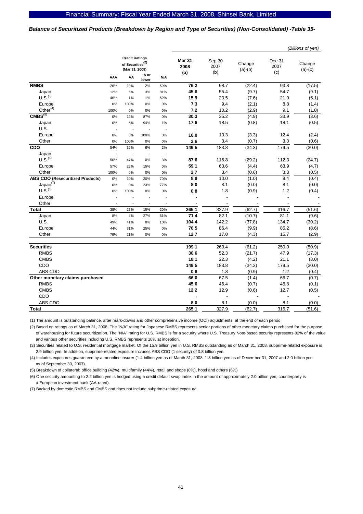#### *Balance of Securitized Products (Breakdown by Region and Type of Securities) (Non-Consolidated) -Table 35-*

|                                         |                                                                         |                          |               |                              |                       |                     | (Billions of yen)     |                          |        |
|-----------------------------------------|-------------------------------------------------------------------------|--------------------------|---------------|------------------------------|-----------------------|---------------------|-----------------------|--------------------------|--------|
|                                         | <b>Credit Ratings</b><br>of Securities <sup>(2)</sup><br>(Mar 31, 2008) |                          |               | <b>Mar 31</b><br>2008<br>(a) | Sep 30<br>2007<br>(b) | Change<br>$(a)-(b)$ | Dec 31<br>2007<br>(c) | Change<br>$(a)-(c)$      |        |
|                                         | AAA                                                                     | AA                       | A or<br>lower | N/A                          |                       |                     |                       |                          |        |
| <b>RMBS</b>                             | 26%                                                                     | 13%                      | 2%            | 59%                          | 76.2                  | 98.7                | (22.4)                | 93.8                     | (17.5) |
| Japan                                   | 12%                                                                     | 5%                       | 3%            | 81%                          | 45.6                  | 55.4                | (9.7)                 | 54.7                     | (9.1)  |
| U.S. <sup>(3)</sup>                     | 46%                                                                     | 1%                       | 1%            | 52%                          | 15.9                  | 23.5                | (7.6)                 | 21.0                     | (5.1)  |
| Europe                                  | 0%                                                                      | 100%                     | 0%            | $0\%$                        | 7.3                   | 9.4                 | (2.1)                 | 8.8                      | (1.4)  |
| $Other^{(4)}$                           | 100%                                                                    | 0%                       | 0%            | 0%                           | 7.2                   | 10.2                | (2.9)                 | 9.1                      | (1.8)  |
| CMBS <sup>(5)</sup>                     | 0%                                                                      | 12%                      | 87%           | 0%                           | 30.3                  | 35.2                | (4.9)                 | 33.9                     | (3.6)  |
| Japan                                   | 0%                                                                      | 6%                       | 94%           | 1%                           | 17.6                  | 18.5                | (0.8)                 | 18.1                     | (0.5)  |
| U.S.                                    | ÷,                                                                      | $\overline{\phantom{a}}$ |               | ÷,                           |                       |                     |                       |                          |        |
| Europe                                  | 0%                                                                      | 0%                       | 100%          | 0%                           | 10.0                  | 13.3                | (3.3)                 | 12.4                     | (2.4)  |
| Other                                   | 0%                                                                      | 100%                     | 0%            | 0%                           | 2.6                   | 3.4                 | (0.7)                 | 3.3                      | (0.6)  |
| CDO                                     | 54%                                                                     | 39%                      | 6%            | 2%                           | 149.5                 | 183.8               | (34.3)                | 179.5                    | (30.0) |
| Japan                                   | ÷,                                                                      | ÷,                       | ÷,            | ÷,                           |                       | $\blacksquare$      |                       | ä,                       |        |
| U.S. <sup>(6)</sup>                     | 50%                                                                     | 47%                      | 0%            | 3%                           | 87.6                  | 116.8               | (29.2)                | 112.3                    | (24.7) |
| Europe                                  | 57%                                                                     | 28%                      | 15%           | 0%                           | 59.1                  | 63.6                | (4.4)                 | 63.9                     | (4.7)  |
| Other                                   | 100%                                                                    | 0%                       | 0%            | 0%                           | 2.7                   | 3.4                 | (0.6)                 | 3.3                      | (0.5)  |
| <b>ABS CDO (Resecuritized Products)</b> | 0%                                                                      | 10%                      | 20%           | 70%                          | 8.9                   | 10.0                | (1.0)                 | 9.4                      | (0.4)  |
| Japan <sup>(7)</sup>                    | 0%                                                                      | 0%                       | 23%           | 77%                          | 8.0                   | 8.1                 | (0.0)                 | 8.1                      | (0.0)  |
| U.S. <sup>(3)</sup>                     | 0%                                                                      | 100%                     | 0%            | 0%                           | 0.8                   | 1.8                 | (0.9)                 | 1.2                      | (0.4)  |
| Europe                                  | ٠                                                                       |                          |               |                              |                       | $\overline{a}$      |                       |                          |        |
| Other                                   | ÷,                                                                      | J.                       |               | ÷,                           |                       |                     |                       |                          |        |
| <b>Total</b>                            | 38%                                                                     | 27%                      | 15%           | 20%                          | 265.1                 | 327.9               | (62.7)                | 316.7                    | (51.6) |
| Japan                                   | 8%                                                                      | 4%                       | 27%           | 61%                          | 71.4                  | 82.1                | (10.7)                | 81.1                     | (9.6)  |
| U.S.                                    | 49%                                                                     | 41%                      | 0%            | 10%                          | 104.4                 | 142.2               | (37.8)                | 134.7                    | (30.2) |
| Europe                                  | 44%                                                                     | 31%                      | 25%           | 0%                           | 76.5                  | 86.4                | (9.9)                 | 85.2                     | (8.6)  |
| Other                                   | 79%                                                                     | 21%                      | 0%            | 0%                           | 12.7                  | 17.0                | (4.3)                 | 15.7                     | (2.9)  |
|                                         |                                                                         |                          |               |                              |                       |                     |                       |                          |        |
| <b>Securities</b>                       |                                                                         |                          |               |                              | 199.1                 | 260.4               | (61.2)                | 250.0                    | (50.9) |
| <b>RMBS</b>                             |                                                                         |                          |               |                              | 30.6                  | 52.3                | (21.7)                | 47.9                     | (17.3) |
| <b>CMBS</b>                             |                                                                         |                          |               |                              | 18.1                  | 22.3                | (4.2)                 | 21.1                     | (3.0)  |
| CDO                                     |                                                                         |                          |               |                              | 149.5                 | 183.8               | (34.3)                | 179.5                    | (30.0) |
| ABS CDO                                 |                                                                         |                          |               |                              | 0.8                   | 1.8                 | (0.9)                 | 1.2                      | (0.4)  |
| Other monetary claims purchased         |                                                                         |                          |               |                              | 66.0                  | 67.5                | (1.4)                 | 66.7                     | (0.7)  |
| <b>RMBS</b>                             |                                                                         |                          |               |                              | 45.6                  | 46.4                | (0.7)                 | 45.8                     | (0.1)  |
| <b>CMBS</b>                             |                                                                         |                          |               |                              | 12.2                  | 12.9                | (0.6)                 | 12.7                     | (0.5)  |
| CDO                                     |                                                                         |                          |               |                              | ä,                    | Ĭ.                  |                       | $\overline{\phantom{a}}$ |        |
| ABS CDO                                 |                                                                         |                          |               |                              | 8.0                   | 8.1                 | (0.0)                 | 8.1                      | (0.0)  |
| <b>Total</b>                            |                                                                         |                          |               |                              | 265.1                 | 327.9               | (62.7)                | 316.7                    | (51.6) |
|                                         |                                                                         |                          |               |                              |                       |                     |                       |                          |        |

(1) The amount is outstanding balance, after mark-downs and other comprehensive income (OCI) adjustments, at the end of each period.

(2) Based on ratings as of March 31, 2008. The "N/A" rating for Japanese RMBS represents senior portions of other monetary claims purchased for the purpose of warehousing for future securitization. The "N/A" rating for U.S. RMBS is for a security where U.S. Treasury Note-based security represents 82% of the value and various other securities including U.S. RMBS represents 18% at inception.

(3) Securities related to U.S. residential mortgage market. Of the 15.9 billion yen in U.S. RMBS outstanding as of March 31, 2008, subprime-related exposure is 2.9 billion yen. In addition, subprime-related exposure includes ABS CDO (1 security) of 0.8 billion yen.

(4) Includes exposures guaranteed by a monoline insurer (1.4 billion yen as of March 31, 2008, 1.8 billion yen as of December 31, 2007 and 2.0 billion yen as of September 30, 2007).

(5) Breakdown of collateral: office building (42%), multifamily (44%), retail and shops (8%), hotel and others (6%)

(6) One security amounting to 2.2 billion yen is hedged using a credit default swap index in the amount of approximately 2.0 billion yen; counterparty is a European investment bank (AA-rated).

(7) Backed by domestic RMBS and CMBS and does not include subprime-related exposure.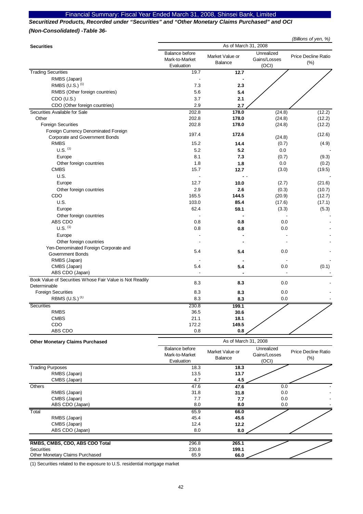### Financial Summary: Fiscal Year Ended March 31, 2008, Shinsei Bank, Limited

*Securitized Products, Recorded under "Securities" and "Other Monetary Claims Purchased" and OCI (Non-Consolidated) -Table 36-* 

|                                                          | (Billions of yen, %)                           |                            |                                     |                                    |  |  |
|----------------------------------------------------------|------------------------------------------------|----------------------------|-------------------------------------|------------------------------------|--|--|
| <b>Securities</b>                                        | As of March 31, 2008                           |                            |                                     |                                    |  |  |
|                                                          | Balance before<br>Mark-to-Market<br>Evaluation | Market Value or<br>Balance | Unrealized<br>Gains/Losses<br>(OCI) | <b>Price Decline Ratio</b><br>(% ) |  |  |
| <b>Trading Securities</b>                                | 19.7                                           | 12.7                       |                                     |                                    |  |  |
| RMBS (Japan)                                             |                                                |                            |                                     |                                    |  |  |
| RMBS (U.S.) (1)                                          | 7.3                                            | 2.3                        |                                     |                                    |  |  |
| RMBS (Other foreign countries)                           | 5.6                                            | 5.4                        |                                     |                                    |  |  |
| CDO (U.S.)                                               | 3.7                                            | 2.1                        |                                     |                                    |  |  |
| CDO (Other foreign countries)                            | 2.9                                            | 2.7                        |                                     |                                    |  |  |
| Securities Available for Sale                            | 202.8                                          | 178.0                      | (24.8)                              | (12.2)                             |  |  |
| Other                                                    | 202.8                                          | 178.0                      | (24.8)                              | (12.2)                             |  |  |
| <b>Foreign Securities</b>                                | 202.8                                          | 178.0                      | (24.8)                              | (12.2)                             |  |  |
| Foreign Currency Denominated Foreign                     | 197.4                                          | 172.6                      |                                     | (12.6)                             |  |  |
| Corporate and Government Bonds                           |                                                |                            | (24.8)                              |                                    |  |  |
| <b>RMBS</b><br>$U.S.$ $(1)$                              | 15.2                                           | 14.4                       | (0.7)                               | (4.9)                              |  |  |
|                                                          | 5.2                                            | 5.2                        | 0.0                                 |                                    |  |  |
| Europe                                                   | 8.1                                            | 7.3                        | (0.7)                               | (9.3)                              |  |  |
| Other foreign countries                                  | 1.8                                            | 1.8<br>12.7                | 0.0                                 | (0.2)                              |  |  |
| <b>CMBS</b><br>U.S.                                      | 15.7                                           |                            | (3.0)                               | (19.5)                             |  |  |
|                                                          |                                                |                            |                                     |                                    |  |  |
| Europe                                                   | 12.7                                           | 10.0                       | (2.7)                               | (21.6)                             |  |  |
| Other foreign countries                                  | 2.9                                            | 2.6                        | (0.3)                               | (10.7)                             |  |  |
| CDO<br>U.S.                                              | 165.5<br>103.0                                 | 144.5<br>85.4              | (20.9)                              | (12.7)                             |  |  |
|                                                          | 62.4                                           | 59.1                       | (17.6)                              | (17.1)                             |  |  |
| Europe                                                   |                                                |                            | (3.3)                               | (5.3)                              |  |  |
| Other foreign countries<br>ABS CDO                       | 0.8                                            | 0.8                        | 0.0                                 |                                    |  |  |
| $U.S.$ $(1)$                                             | 0.8                                            | 0.8                        | 0.0                                 |                                    |  |  |
| Europe                                                   |                                                |                            |                                     |                                    |  |  |
| Other foreign countries                                  |                                                |                            |                                     |                                    |  |  |
| Yen-Denominated Foreign Corporate and                    |                                                |                            |                                     |                                    |  |  |
| Government Bonds                                         | 5.4                                            | 5.4                        | 0.0                                 |                                    |  |  |
| RMBS (Japan)                                             |                                                |                            |                                     |                                    |  |  |
| CMBS (Japan)                                             | 5.4                                            | 5.4                        | 0.0                                 | (0.1)                              |  |  |
| ABS CDO (Japan)                                          |                                                |                            |                                     |                                    |  |  |
| Book Value of Securities Whose Fair Value is Not Readily |                                                |                            |                                     |                                    |  |  |
| Determinable                                             | 8.3                                            | 8.3                        | 0.0                                 |                                    |  |  |
| <b>Foreign Securities</b>                                | 8.3                                            | 8.3                        | 0.0                                 |                                    |  |  |
| RBMS (U.S.) <sup>(1)</sup>                               | 8.3                                            | 8.3                        | 0.0                                 |                                    |  |  |
| <b>Securities</b>                                        | 230.8                                          | 199.1                      |                                     |                                    |  |  |
| <b>RMBS</b>                                              | 36.5                                           | 30.6                       |                                     |                                    |  |  |
| <b>CMBS</b>                                              | 21.1                                           | 18.1                       |                                     |                                    |  |  |
| CDO                                                      | 172.2                                          | 149.5                      |                                     |                                    |  |  |
| ABS CDO                                                  | 0.8                                            | 0.8                        |                                     |                                    |  |  |
| <b>Other Monetary Claims Purchased</b>                   |                                                | As of March 31, 2008       |                                     |                                    |  |  |
|                                                          | Balance before                                 |                            | Unrealized                          | Price Decline Ratio                |  |  |
|                                                          | Mark-to-Market                                 | Market Value or<br>Balance | Gains/Losses                        |                                    |  |  |
|                                                          | Evaluation                                     |                            | (OCI)                               | (%)                                |  |  |
| <b>Trading Purposes</b>                                  | 18.3                                           | 18.3                       |                                     |                                    |  |  |
| RMBS (Japan)                                             | 13.5                                           | 13.7                       |                                     |                                    |  |  |
| CMBS (Japan)                                             | 4.7                                            | 4.5                        |                                     |                                    |  |  |
| Others                                                   | 47.6                                           | 47.6                       | 0.0                                 |                                    |  |  |
| RMBS (Japan)                                             | 31.8                                           | 31.8                       | $0.0\,$                             |                                    |  |  |
| CMBS (Japan)<br>ABS CDO (Japan)                          | 7.7<br>8.0                                     | 7.7<br>8.0                 | 0.0<br>0.0                          |                                    |  |  |
| Total                                                    | 65.9                                           |                            |                                     |                                    |  |  |
| RMBS (Japan)                                             | 45.4                                           | 66.0<br>45.6               |                                     |                                    |  |  |
| CMBS (Japan)                                             | 12.4                                           | 12.2                       |                                     |                                    |  |  |
| ABS CDO (Japan)                                          | 8.0                                            | 8.0                        |                                     |                                    |  |  |
|                                                          |                                                |                            |                                     |                                    |  |  |
| RMBS, CMBS, CDO, ABS CDO Total                           | 296.8                                          | 265.1                      |                                     |                                    |  |  |
| Securities                                               | 230.8                                          | 199.1                      |                                     |                                    |  |  |

(1) Securities related to the exposure to U.S. residential mortgage market

Securities 230.8 **199.1** Other Monetary Claims Purchased 65.9 66.0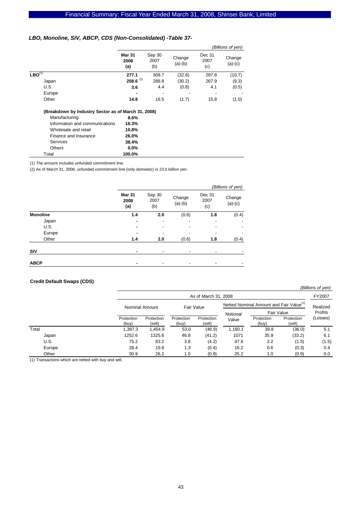#### *LBO, Monoline, SIV, ABCP, CDS (Non-Consolidated) -Table 37-*

|                                                     |                              |                          |                     |                       | (Billions of yen)   |
|-----------------------------------------------------|------------------------------|--------------------------|---------------------|-----------------------|---------------------|
|                                                     | <b>Mar 31</b><br>2008<br>(a) | Sep 30<br>2007<br>(b)    | Change<br>$(a)-(b)$ | Dec 31<br>2007<br>(c) | Change<br>$(a)-(c)$ |
| $LBO^{(1)}$                                         | 277.1                        | 309.7                    | (32.6)              | 287.8                 | (10.7)              |
| Japan                                               | $258.6^{(2)}$                | 288.8                    | (30.2)              | 267.9                 | (9.3)               |
| U.S.                                                | 3.6                          | 4.4                      | (0.8)               | 4.1                   | (0.5)               |
| Europe                                              |                              | $\overline{\phantom{0}}$ |                     |                       |                     |
| Other                                               | 14.8                         | 16.5                     | (1.7)               | 15.8                  | (1.0)               |
| (Breakdown by Industry Sector as of March 31, 2008) |                              |                          |                     |                       |                     |
| Manufacturing                                       | 8.6%                         |                          |                     |                       |                     |
| Information and communications                      | 16.3%                        |                          |                     |                       |                     |
| Wholesale and retail                                | 10.8%                        |                          |                     |                       |                     |
| Finance and Insurance                               | 26.0%                        |                          |                     |                       |                     |
| Services                                            | 38.4%                        |                          |                     |                       |                     |
| <b>Others</b>                                       | $0.0\%$                      |                          |                     |                       |                     |

(1) The amount includes unfunded commitment line.

Total **100.0%**

(2) As of March 31, 2008, unfunded commitment line (only domestic) is 23.0 billion yen.

|                 |                       |                          |                          |                       | (Billions of yen)   |
|-----------------|-----------------------|--------------------------|--------------------------|-----------------------|---------------------|
|                 | Mar 31<br>2008<br>(a) | Sep 30<br>2007<br>(b)    | Change<br>$(a)-(b)$      | Dec 31<br>2007<br>(c) | Change<br>$(a)-(c)$ |
| <b>Monoline</b> | 1.4                   | 2.0                      | (0.6)                    | 1.8                   | (0.4)               |
| Japan           |                       | ٠                        |                          |                       |                     |
| U.S.            | -                     | $\overline{\phantom{a}}$ |                          |                       |                     |
| Europe          |                       |                          |                          |                       |                     |
| Other           | 1.4                   | 2.0                      | (0.6)                    | 1.8                   | (0.4)               |
| SIV             |                       |                          | $\overline{\phantom{0}}$ | $\blacksquare$        |                     |
| <b>ABCP</b>     |                       |                          | $\overline{\phantom{0}}$ |                       |                     |

#### **Credit Default Swaps (CDS)**

FY2007 Protection (buy) Protection (sell) Protection (buy) Protection (sell) Protection (buy) Protection (sell) Total 1,387.3 1,454.9 53.0 (46.9) 1,160.1 39.8 (36.0) 5.1 Japan 1252.6 1325.6 46.8 (41.2) 1071 35.9 (33.2) 6.1 U.S. 75.2 83.2 3.8 (4.2) 47.6 2.2 (1.5) (1.5) Europe 28.4 19.8 1.3 (0.4) 16.2 0.6 (0.3) 0.4 Other 30.9 26.2 1.0 (0.9) 25.2 1.0 (0.9) 0.0 Realized Profits (Losses) Fair Value As of March 31, 2008 Nominal Amount Fair Value Fair Value Netted Nominal Amount and Fair Value<sup>(1)</sup> Notional Value

*(Billions of yen)*

(1) Transactions which are netted with buy and sell.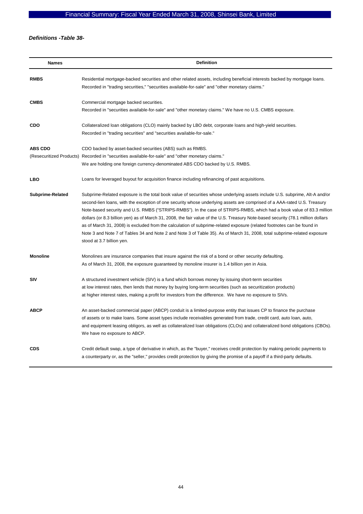# *Definitions -Table 38-*

| <b>Names</b>     | <b>Definition</b>                                                                                                                                                                                                                                                                                                                                                                                                                                                                                                                                                                                                                                                                                                                                                                                       |
|------------------|---------------------------------------------------------------------------------------------------------------------------------------------------------------------------------------------------------------------------------------------------------------------------------------------------------------------------------------------------------------------------------------------------------------------------------------------------------------------------------------------------------------------------------------------------------------------------------------------------------------------------------------------------------------------------------------------------------------------------------------------------------------------------------------------------------|
| <b>RMBS</b>      | Residential mortgage-backed securities and other related assets, including beneficial interests backed by mortgage loans.<br>Recorded in "trading securities," "securities available-for-sale" and "other monetary claims."                                                                                                                                                                                                                                                                                                                                                                                                                                                                                                                                                                             |
| <b>CMBS</b>      | Commercial mortgage backed securities.<br>Recorded in "securities available-for-sale" and "other monetary claims." We have no U.S. CMBS exposure.                                                                                                                                                                                                                                                                                                                                                                                                                                                                                                                                                                                                                                                       |
| <b>CDO</b>       | Collateralized loan obligations (CLO) mainly backed by LBO debt, corporate loans and high-yield securities.<br>Recorded in "trading securities" and "securities available-for-sale."                                                                                                                                                                                                                                                                                                                                                                                                                                                                                                                                                                                                                    |
| <b>ABS CDO</b>   | CDO backed by asset-backed securities (ABS) such as RMBS.<br>(Resecuritized Products) Recorded in "securities available-for-sale" and "other monetary claims."<br>We are holding one foreign currency-denominated ABS CDO backed by U.S. RMBS.                                                                                                                                                                                                                                                                                                                                                                                                                                                                                                                                                          |
| LBO              | Loans for leveraged buyout for acquisition finance including refinancing of past acquisitions.                                                                                                                                                                                                                                                                                                                                                                                                                                                                                                                                                                                                                                                                                                          |
| Subprime-Related | Subprime-Related exposure is the total book value of securities whose underlying assets include U.S. subprime, Alt-A and/or<br>second-lien loans, with the exception of one security whose underlying assets are comprised of a AAA-rated U.S. Treasury<br>Note-based security and U.S. RMBS ("STRIPS-RMBS"). In the case of STRIPS-RMBS, which had a book value of 83.3 million<br>dollars (or 8.3 billion yen) as of March 31, 2008, the fair value of the U.S. Treasury Note-based security (78.1 million dollars<br>as of March 31, 2008) is excluded from the calculation of subprime-related exposure (related footnotes can be found in<br>Note 3 and Note 7 of Tables 34 and Note 2 and Note 3 of Table 35). As of March 31, 2008, total subprime-related exposure<br>stood at 3.7 billion yen. |
| <b>Monoline</b>  | Monolines are insurance companies that insure against the risk of a bond or other security defaulting.<br>As of March 31, 2008, the exposure guaranteed by monoline insurer is 1.4 billion yen in Asia.                                                                                                                                                                                                                                                                                                                                                                                                                                                                                                                                                                                                 |
| SIV              | A structured investment vehicle (SIV) is a fund which borrows money by issuing short-term securities<br>at low interest rates, then lends that money by buying long-term securities (such as securitization products)<br>at higher interest rates, making a profit for investors from the difference. We have no exposure to SIVs.                                                                                                                                                                                                                                                                                                                                                                                                                                                                      |
| <b>ABCP</b>      | An asset-backed commercial paper (ABCP) conduit is a limited-purpose entity that issues CP to finance the purchase<br>of assets or to make loans. Some asset types include receivables generated from trade, credit card, auto loan, auto,<br>and equipment leasing obligors, as well as collateralized loan obligations (CLOs) and collateralized bond obligations (CBOs).<br>We have no exposure to ABCP.                                                                                                                                                                                                                                                                                                                                                                                             |
| <b>CDS</b>       | Credit default swap, a type of derivative in which, as the "buyer," receives credit protection by making periodic payments to<br>a counterparty or, as the "seller," provides credit protection by giving the promise of a payoff if a third-party defaults.                                                                                                                                                                                                                                                                                                                                                                                                                                                                                                                                            |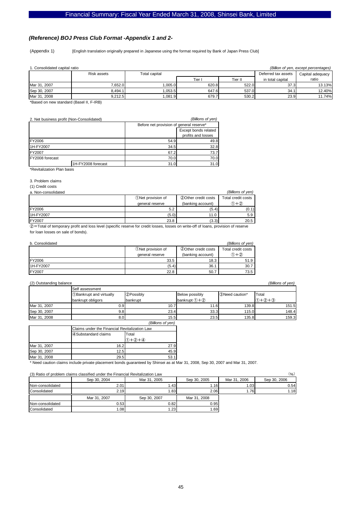#### *(Reference) BOJ Press Club Format -Appendix 1 and 2-*

(Appendix 1) [English translation originally prepared in Japanese using the format required by Bank of Japan Press Club]

| (Billion of yen, except percentages)<br>1. Consolidated capital ratio |                    |               |        |         |                     |                  |
|-----------------------------------------------------------------------|--------------------|---------------|--------|---------|---------------------|------------------|
|                                                                       | <b>Risk assets</b> | Total capital |        |         | Deferred tax assets | Capital adequacy |
|                                                                       |                    |               | Tier I | Tier II | in total capital    | ratio            |
| Mar 31, 2007                                                          | 7.652.0            | .005.0        | 620.8  | 522.0   | 37.3                | 13.13%           |
| Sep 30, 2007                                                          | 8.494.1            | .053.5        | 647.6  | 537.0   | 34.1                | 12.40%           |
| Mar 31, 2008                                                          | 9.212.5            | 081.9 ا       | 679.7  | 530.2   | 23.9                | 11.74%           |

\*Based on new standard (Basel II, F-IRB)

| 2. Net business profit (Non-Consolidated) |                    |                                          | (Billions of yen)                          |
|-------------------------------------------|--------------------|------------------------------------------|--------------------------------------------|
|                                           |                    | Before net provision of general reserve* |                                            |
|                                           |                    |                                          | Except bonds related<br>profits and losses |
| FY2006                                    |                    | 49.8<br>54.9                             |                                            |
| 1H-FY2007                                 |                    | 34.5                                     | 32.8                                       |
| FY2007                                    |                    | 73.7<br>67.2                             |                                            |
| FY2008 forecast                           |                    | 70.0                                     | 70.0                                       |
|                                           | 1H-FY2008 forecast | 31.0                                     | 31.0                                       |
| *Revitalization Plan basis                |                    |                                          |                                            |

#### 3. Problem claims

(1) Credit costs

| a. Non-consolidated |                     |                     | (Billions of ven)  |
|---------------------|---------------------|---------------------|--------------------|
|                     | 10 Met provision of | 20ther credit costs | Total credit costs |
|                     | general reserve     | (banking account)   | $(1) + (2)$        |
| <b>FY2006</b>       | 5.2                 | (5.4)               | (0.1)              |
| 1H-FY2007           | (5.0)               | 11.0                | 5.9                |
| <b>FY2007</b>       | 23.8                | (3.3)               | 20.5               |

②=Total of temporary profit and loss level (specific reserve for credit losses, losses on write-off of loans, provision of reserve for loan losses on sale of bonds).

| b. Consolidated |                                 |                     | (Billions of yen)  |
|-----------------|---------------------------------|---------------------|--------------------|
|                 | <b><i>ONet provision of</i></b> | 20ther credit costs | Total credit costs |
|                 | general reserve                 | (banking account)   | $(1) + (2)$        |
| <b>FY2006</b>   | 33.5                            | 18.3                | 51.9               |
| 1H-FY2007       | (5.4)                           | 36.1                | 30.7               |
| <b>FY2007</b>   | 22.8                            | 50.7                | 73.5               |

| (Billions of ven)<br>(2) Outstanding balance |                           |                   |                       |                  |                   |
|----------------------------------------------|---------------------------|-------------------|-----------------------|------------------|-------------------|
|                                              | <b>ISelf assessment</b>   |                   |                       |                  |                   |
|                                              | 1) Bankrupt and virtually | 2Possibly         | <b>Below possibly</b> | 3) Need caution* | Total             |
|                                              | bankrupt obligors         | <b>I</b> bankrupt | bankrupt $(1) + (2)$  |                  | $(1) + (2) + (3)$ |
| Mar 31, 2007                                 | 0.91                      | 10.7              | 11.6                  | 139.8            | 151.5             |
| Sep 30, 2007                                 | 9.8                       | 23.4              | 33.3                  | 115.0            | 148.4             |
| Mar 31, 2008                                 | 8.0                       | 15.5              | 23.5                  | 135.8            | 159.3             |

|              |                      | (Billions of yen)                             |  |  |
|--------------|----------------------|-----------------------------------------------|--|--|
|              |                      | Claims under the Financial Revitalization Law |  |  |
|              | 4 Substandard claims | Total                                         |  |  |
|              |                      | $(2) + (4)$                                   |  |  |
| Mar 31, 2007 |                      | 16.2<br>27.9                                  |  |  |
| Sep 30, 2007 |                      | 45.9<br>12.5                                  |  |  |
| Mar 31, 2008 |                      | 29.5                                          |  |  |

\* Need caution claims include private placement bonds guaranteed by Shinsei as at Mar 31, 2008, Sep 30, 2007 and Mar 31, 2007.

| (3) Ratio of problem claims classified under the Financial Revitalization Law |                  |              |              | (9)          |              |
|-------------------------------------------------------------------------------|------------------|--------------|--------------|--------------|--------------|
|                                                                               | Sep 30, 2004     | Mar 31, 2005 | Sep 30, 2005 | Mar 31, 2006 | Sep 30, 2006 |
| Non-consolidated                                                              | 2.01             | 1.43         | 1.16         | 1.03         | 0.54         |
| Consolidated                                                                  | 2.19             | 1.83         | 2.06         | 1.76         | 1.18         |
|                                                                               | Mar 31, 2007     | Sep 30, 2007 | Mar 31, 2008 |              |              |
| Non-consolidated                                                              | 0.53             | 0.82         | 0.95         |              |              |
| Consolidated                                                                  | .08 <sub>1</sub> | 1.23         | 1.69         |              |              |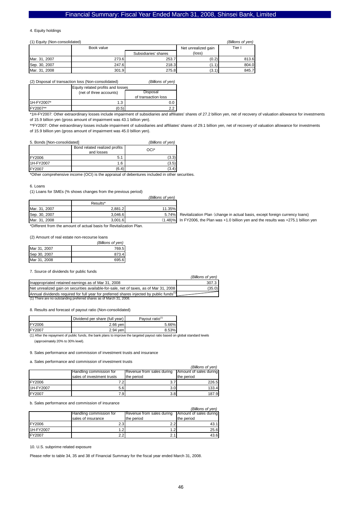#### 4. Equity holdings

#### (1) Equity (Non-consolidated) *(Billions of yen)*

|               | Book value |                      | Net unrealized gain | Tier I |
|---------------|------------|----------------------|---------------------|--------|
|               |            | Subsidiaries' shares | (loss)              |        |
| Mar. 31, 2007 | 273.6      | 253.7                | (0.2)               | 813.6  |
| Sep. 30, 2007 | 247.6      | 218.3                |                     | 804.0  |
| Mar. 31, 2008 | 301.9      | 275.8                | (3.1)               | 845.7  |

(2) Disposal of transaction loss (Non-consolidated) *(Billions of yen)*

|            | Equity related profits and losses |                     |  |
|------------|-----------------------------------|---------------------|--|
|            | (net of three accounts)           | Disposal            |  |
|            |                                   | of transaction loss |  |
| 1H-FY2007* | 1.3                               | 0.0                 |  |
| FY2007**   | (0.5)                             | っっ                  |  |

\*1H-FY2007: Other extraordinary losses include impairment of subsidiaries and affiliates' shares of 27.2 billion yen, net of recovery of valuation allowance for investments of 15.9 billion yen (gross amount of impairment was 43.1 billion yen).

\*\*FY2007: Other extraordinary losses include impairment of subsidiaries and affiliates' shares of 29.1 billion yen, net of recovery of valuation allowance for investments of 15.9 billion yen (gross amount of impairment was 45.0 billion yen).

#### 5. Bonds [Non-consolidated] *(Billions of yen)*

|               | Bond related realized profits<br>and losses | OCI*  |
|---------------|---------------------------------------------|-------|
| <b>FY2006</b> | 5.1                                         | (3.3) |
| 1H-FY2007     | 1.6                                         | (3.5) |
| <b>FY2007</b> | (6.4)                                       | (3.4) |

\*Other comprehensive income (OCI) is the appraisal of debentures included in other securities.

#### 6. Loans

(1) Loans for SMEs (% shows changes from the previous period) *(Billions of yen)*

|               | Results* |         |
|---------------|----------|---------|
| Mar. 31, 2007 | 2.881.2  | 11.35%  |
| Sep. 30, 2007 | 3.046.6  | 5.74%   |
| Mar. 31, 2008 | 3.001.6  | (1.48)% |

\*Different from the amount of actual basis for Revitalization Plan.

(2) Amount of real estate non-recourse loans

|              | (Billions of yen) |
|--------------|-------------------|
| Mar 31, 2007 | 769.5             |
| Sep 30, 2007 | 873.4             |
| Mar 31, 2008 | 695.6             |

#### 7. Source of dividends for public funds

|                                                                                                      | (Billions of ven) |
|------------------------------------------------------------------------------------------------------|-------------------|
| Inappropriated retained earnings as of Mar 31, 2008                                                  | 307.3             |
| Net unrealized gain on securities available-for-sale, net of taxes, as of Mar 31, 2008               | (35.0)            |
| Annual dividends required for full year for preferred shares injected by public funds <sup>(1)</sup> |                   |
| (1) There are no outstanding preferred shares as of March 31, 2008.                                  |                   |

8. Results and forecast of payout ratio (Non-consolidated)

|        | Dividend per share (full year) | Payout ratio <sup>(1)</sup> |  |
|--------|--------------------------------|-----------------------------|--|
| FY2006 | 2.66 ven                       | 5.66%                       |  |
| FY2007 | 2.94 ven                       | 8.53%                       |  |

(1) After the repayment of public funds, the bank plans to improve the targeted payout ratio based on global standard levels (approximately 20% to 30% level).

9. Sales performance and commission of investment trusts and insurance

a. Sales performance and commission of investment trusts

|               |                             |                           | (Billions of ven)      |
|---------------|-----------------------------|---------------------------|------------------------|
|               | Handling commission for     | Revenue from sales during | Amount of sales during |
|               | Isales of investment trusts | the period                | the period             |
| <b>FY2006</b> |                             | 3.                        | 226.5                  |
| 1H-FY2007     | 5.6                         | 3.0                       | 133.4                  |
| <b>FY2007</b> | 7.9                         | 3.8                       | 187.9                  |

b. Sales performance and commission of insurance

|                |                         |                           | (Billions of ven)      |
|----------------|-------------------------|---------------------------|------------------------|
|                | Handling commission for | Revenue from sales during | Amount of sales during |
|                | sales of insurance      | the period                | the period             |
| <b>FY2006</b>  |                         |                           | 43.11                  |
| 1H-FY2007      |                         |                           | 25.6                   |
| <b>IFY2007</b> |                         |                           | 43.6                   |

10. U.S. subprime related exposure

Please refer to table 34, 35 and 38 of Financial Summary for the fiscal year ended March 31, 2008.

Revitalization Plan (change in actual basis, except foreign currency loans) In FY2006, the Plan was +1.0 billion yen and the results was +275.1 billion yen